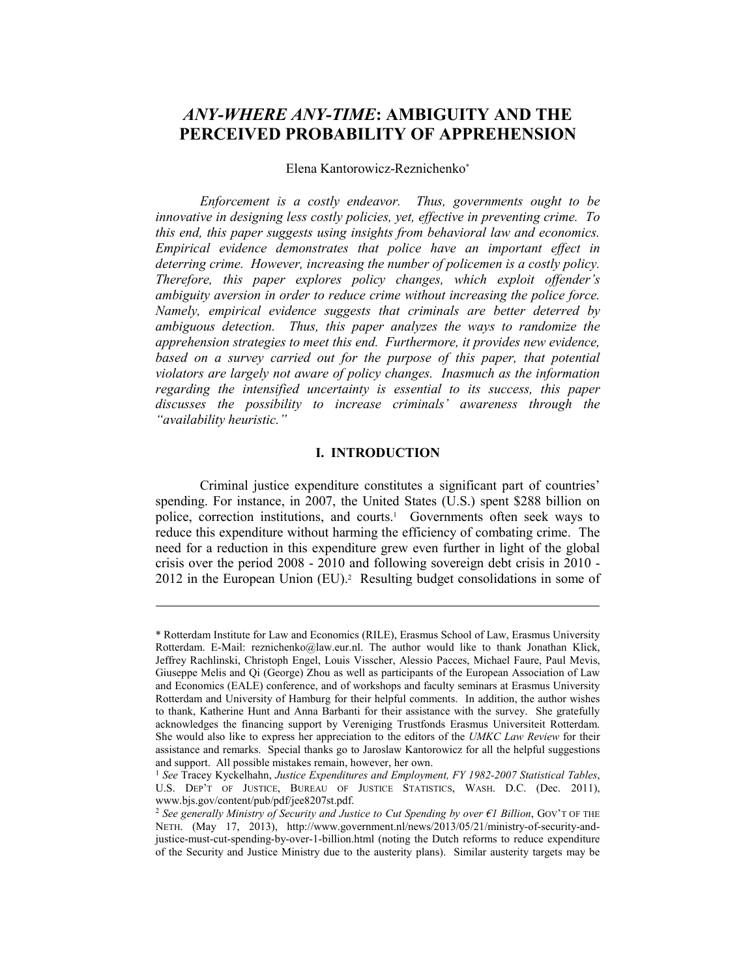# *ANY-WHERE ANY-TIME***: AMBIGUITY AND THE PERCEIVED PROBABILITY OF APPREHENSION**

## Elena Kantorowicz-Reznichenko\*

*Enforcement is a costly endeavor. Thus, governments ought to be innovative in designing less costly policies, yet, effective in preventing crime. To this end, this paper suggests using insights from behavioral law and economics. Empirical evidence demonstrates that police have an important effect in deterring crime. However, increasing the number of policemen is a costly policy. Therefore, this paper explores policy changes, which exploit offender's ambiguity aversion in order to reduce crime without increasing the police force. Namely, empirical evidence suggests that criminals are better deterred by ambiguous detection. Thus, this paper analyzes the ways to randomize the apprehension strategies to meet this end. Furthermore, it provides new evidence, based on a survey carried out for the purpose of this paper, that potential violators are largely not aware of policy changes. Inasmuch as the information regarding the intensified uncertainty is essential to its success, this paper discusses the possibility to increase criminals' awareness through the "availability heuristic."* 

### **I. INTRODUCTION**

Criminal justice expenditure constitutes a significant part of countries' spending. For instance, in 2007, the United States (U.S.) spent \$288 billion on police, correction institutions, and courts.<sup>1</sup> Governments often seek ways to reduce this expenditure without harming the efficiency of combating crime. The need for a reduction in this expenditure grew even further in light of the global crisis over the period 2008 - 2010 and following sovereign debt crisis in 2010 - 2012 in the European Union (EU).<sup>2</sup> Resulting budget consolidations in some of

<sup>\*</sup> Rotterdam Institute for Law and Economics (RILE), Erasmus School of Law, Erasmus University Rotterdam. E-Mail: reznichenko@law.eur.nl. The author would like to thank Jonathan Klick, Jeffrey Rachlinski, Christoph Engel, Louis Visscher, Alessio Pacces, Michael Faure, Paul Mevis, Giuseppe Melis and Qi (George) Zhou as well as participants of the European Association of Law and Economics (EALE) conference, and of workshops and faculty seminars at Erasmus University Rotterdam and University of Hamburg for their helpful comments. In addition, the author wishes to thank, Katherine Hunt and Anna Barbanti for their assistance with the survey. She gratefully acknowledges the financing support by Vereniging Trustfonds Erasmus Universiteit Rotterdam. She would also like to express her appreciation to the editors of the *UMKC Law Review* for their assistance and remarks. Special thanks go to Jaroslaw Kantorowicz for all the helpful suggestions and support. All possible mistakes remain, however, her own.

<sup>1</sup> *See* Tracey Kyckelhahn, *Justice Expenditures and Employment, FY 1982-2007 Statistical Tables*, U.S. DEP'T OF JUSTICE, BUREAU OF JUSTICE STATISTICS, WASH. D.C. (Dec. 2011), www.bjs.gov/content/pub/pdf/jee8207st.pdf.

<sup>2</sup> *See generally Ministry of Security and Justice to Cut Spending by over €1 Billion*, GOV'T OF THE NETH. (May 17, 2013), http://www.government.nl/news/2013/05/21/ministry-of-security-andjustice-must-cut-spending-by-over-1-billion.html (noting the Dutch reforms to reduce expenditure of the Security and Justice Ministry due to the austerity plans). Similar austerity targets may be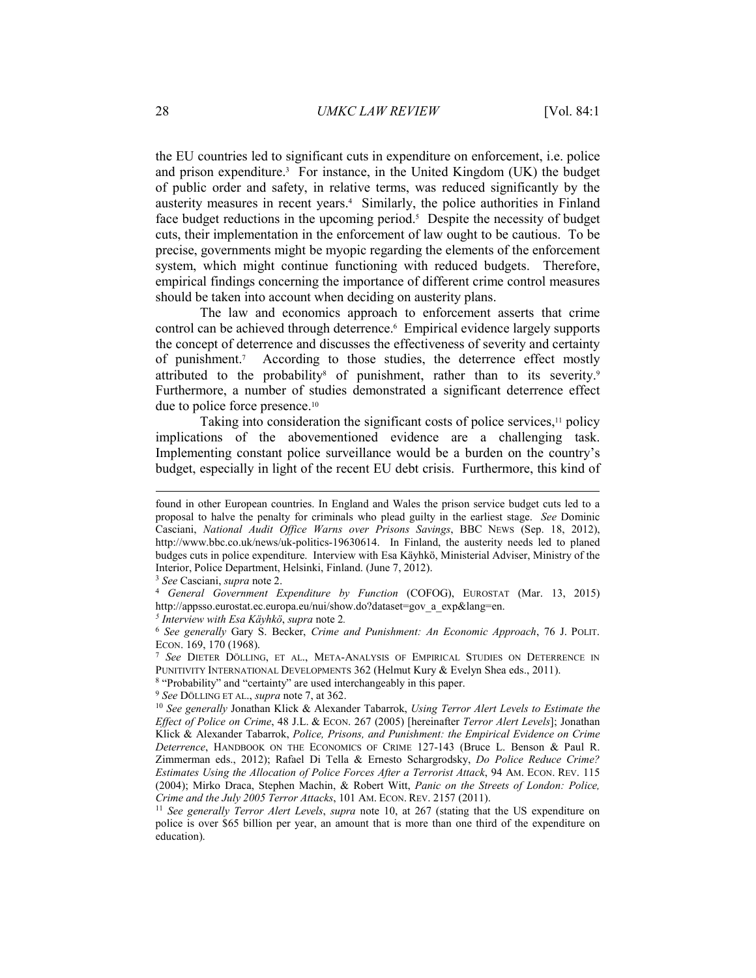the EU countries led to significant cuts in expenditure on enforcement, i.e. police and prison expenditure.3 For instance, in the United Kingdom (UK) the budget of public order and safety, in relative terms, was reduced significantly by the austerity measures in recent years.4 Similarly, the police authorities in Finland face budget reductions in the upcoming period.<sup>5</sup> Despite the necessity of budget cuts, their implementation in the enforcement of law ought to be cautious. To be precise, governments might be myopic regarding the elements of the enforcement system, which might continue functioning with reduced budgets. Therefore, empirical findings concerning the importance of different crime control measures should be taken into account when deciding on austerity plans.

The law and economics approach to enforcement asserts that crime control can be achieved through deterrence.<sup>6</sup> Empirical evidence largely supports the concept of deterrence and discusses the effectiveness of severity and certainty of punishment.7 According to those studies, the deterrence effect mostly attributed to the probability<sup>8</sup> of punishment, rather than to its severity.<sup>9</sup> Furthermore, a number of studies demonstrated a significant deterrence effect due to police force presence.10

Taking into consideration the significant costs of police services, $11$  policy implications of the abovementioned evidence are a challenging task. Implementing constant police surveillance would be a burden on the country's budget, especially in light of the recent EU debt crisis. Furthermore, this kind of

found in other European countries. In England and Wales the prison service budget cuts led to a proposal to halve the penalty for criminals who plead guilty in the earliest stage. *See* Dominic Casciani, *National Audit Office Warns over Prisons Savings*, BBC NEWS (Sep. 18, 2012), http://www.bbc.co.uk/news/uk-politics-19630614. In Finland, the austerity needs led to planed budges cuts in police expenditure. Interview with Esa Käyhkö, Ministerial Adviser, Ministry of the Interior, Police Department, Helsinki, Finland. (June 7, 2012).

<sup>3</sup> *See* Casciani, *supra* note 2. 4 *General Government Expenditure by Function* (COFOG), EUROSTAT (Mar. 13, 2015) http://appsso.eurostat.ec.europa.eu/nui/show.do?dataset=gov\_a\_exp&lang=en.

*<sup>5</sup> Interview with Esa Käyhkö*, *supra* note 2*.* 

<sup>6</sup> *See generally* Gary S. Becker, *Crime and Punishment: An Economic Approach*, 76 J. POLIT.

<sup>&</sup>lt;sup>7</sup> *See* DIETER DÖLLING, ET AL., META-ANALYSIS OF EMPIRICAL STUDIES ON DETERRENCE IN PUNITIVITY INTERNATIONAL DEVELOPMENTS 362 (Helmut Kury & Evelyn Shea eds., 2011).

<sup>&</sup>lt;sup>8</sup> "Probability" and "certainty" are used interchangeably in this paper.<br><sup>9</sup> See DÖLLING ET AL., *supra* note 7, at 362.<br><sup>10</sup> See generally Jonathan Klick & Alexander Tabarrok, *Using Terror Alert Levels to Estimate the Effect of Police on Crime*, 48 J.L. & ECON. 267 (2005) [hereinafter *Terror Alert Levels*]; Jonathan Klick & Alexander Tabarrok, *Police, Prisons, and Punishment: the Empirical Evidence on Crime Deterrence*, HANDBOOK ON THE ECONOMICS OF CRIME 127-143 (Bruce L. Benson & Paul R. Zimmerman eds., 2012); Rafael Di Tella & Ernesto Schargrodsky, *Do Police Reduce Crime? Estimates Using the Allocation of Police Forces After a Terrorist Attack*, 94 AM. ECON. REV. 115 (2004); Mirko Draca, Stephen Machin, & Robert Witt, *Panic on the Streets of London: Police, Crime and the July 2005 Terror Attacks*, 101 AM. ECON. REV. 2157 (2011).<br><sup>11</sup> *See generally Terror Alert Levels*, *supra* note 10, at 267 (stating that the US expenditure on

police is over \$65 billion per year, an amount that is more than one third of the expenditure on education).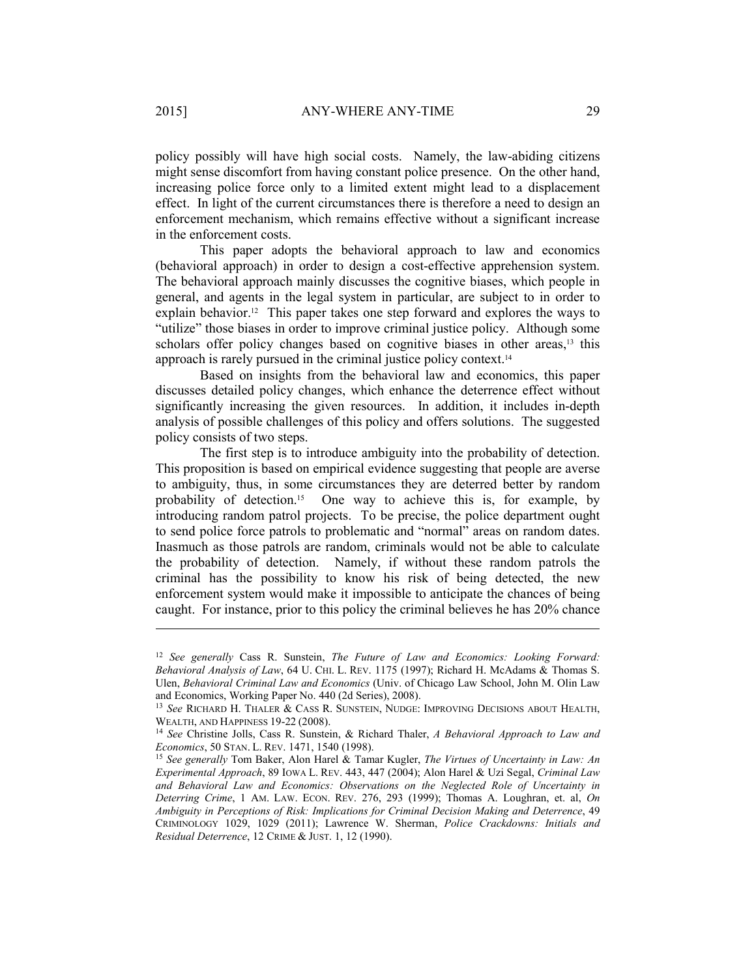policy possibly will have high social costs. Namely, the law-abiding citizens might sense discomfort from having constant police presence. On the other hand, increasing police force only to a limited extent might lead to a displacement effect. In light of the current circumstances there is therefore a need to design an enforcement mechanism, which remains effective without a significant increase in the enforcement costs.

This paper adopts the behavioral approach to law and economics (behavioral approach) in order to design a cost-effective apprehension system. The behavioral approach mainly discusses the cognitive biases, which people in general, and agents in the legal system in particular, are subject to in order to explain behavior.12 This paper takes one step forward and explores the ways to "utilize" those biases in order to improve criminal justice policy. Although some scholars offer policy changes based on cognitive biases in other areas,<sup>13</sup> this approach is rarely pursued in the criminal justice policy context.14

Based on insights from the behavioral law and economics, this paper discusses detailed policy changes, which enhance the deterrence effect without significantly increasing the given resources. In addition, it includes in-depth analysis of possible challenges of this policy and offers solutions. The suggested policy consists of two steps.

The first step is to introduce ambiguity into the probability of detection. This proposition is based on empirical evidence suggesting that people are averse to ambiguity, thus, in some circumstances they are deterred better by random probability of detection.15 One way to achieve this is, for example, by introducing random patrol projects. To be precise, the police department ought to send police force patrols to problematic and "normal" areas on random dates. Inasmuch as those patrols are random, criminals would not be able to calculate the probability of detection. Namely, if without these random patrols the criminal has the possibility to know his risk of being detected, the new enforcement system would make it impossible to anticipate the chances of being caught. For instance, prior to this policy the criminal believes he has 20% chance

<sup>12</sup> *See generally* Cass R. Sunstein, *The Future of Law and Economics: Looking Forward: Behavioral Analysis of Law*, 64 U. CHI. L. REV. 1175 (1997); Richard H. McAdams & Thomas S. Ulen, *Behavioral Criminal Law and Economics* (Univ. of Chicago Law School, John M. Olin Law and Economics, Working Paper No. 440 (2d Series), 2008).

<sup>&</sup>lt;sup>13</sup> *See* RICHARD H. THALER & CASS R. SUNSTEIN, NUDGE: IMPROVING DECISIONS ABOUT HEALTH, WEALTH, AND HAPPINESS 19-22 (2008).

<sup>&</sup>lt;sup>14</sup> See Christine Jolls, Cass R. Sunstein, & Richard Thaler, *A Behavioral Approach to Law and Economics*, 50 STAN. L. REV. 1471, 1540 (1998).<br><sup>15</sup> *See generally* Tom Baker, Alon Harel & Tamar Kugler, *The Virtues of Uncertainty in Law: An* 

*Experimental Approach*, 89 IOWA L. REV. 443, 447 (2004); Alon Harel & Uzi Segal, *Criminal Law and Behavioral Law and Economics: Observations on the Neglected Role of Uncertainty in Deterring Crime*, 1 AM. LAW. ECON. REV. 276, 293 (1999); Thomas A. Loughran, et. al, *On Ambiguity in Perceptions of Risk: Implications for Criminal Decision Making and Deterrence*, 49 CRIMINOLOGY 1029, 1029 (2011); Lawrence W. Sherman, *Police Crackdowns: Initials and Residual Deterrence*, 12 CRIME & JUST. 1, 12 (1990).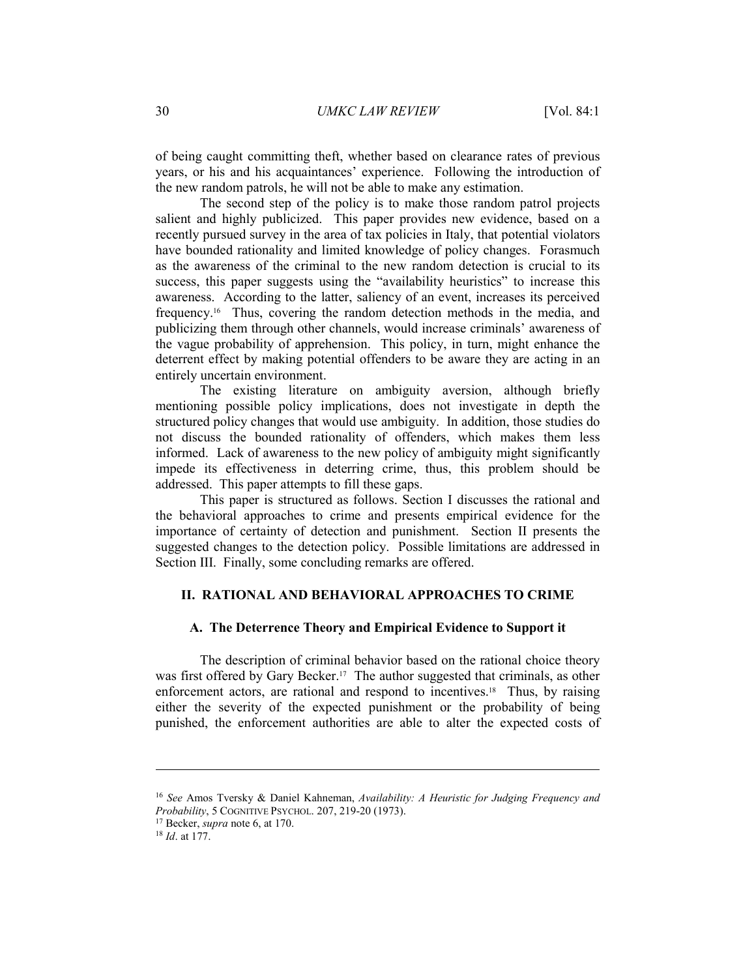of being caught committing theft, whether based on clearance rates of previous years, or his and his acquaintances' experience. Following the introduction of the new random patrols, he will not be able to make any estimation.

The second step of the policy is to make those random patrol projects salient and highly publicized. This paper provides new evidence, based on a recently pursued survey in the area of tax policies in Italy, that potential violators have bounded rationality and limited knowledge of policy changes. Forasmuch as the awareness of the criminal to the new random detection is crucial to its success, this paper suggests using the "availability heuristics" to increase this awareness. According to the latter, saliency of an event, increases its perceived frequency.16 Thus, covering the random detection methods in the media, and publicizing them through other channels, would increase criminals' awareness of the vague probability of apprehension. This policy, in turn, might enhance the deterrent effect by making potential offenders to be aware they are acting in an entirely uncertain environment.

The existing literature on ambiguity aversion, although briefly mentioning possible policy implications, does not investigate in depth the structured policy changes that would use ambiguity. In addition, those studies do not discuss the bounded rationality of offenders, which makes them less informed. Lack of awareness to the new policy of ambiguity might significantly impede its effectiveness in deterring crime, thus, this problem should be addressed. This paper attempts to fill these gaps.

This paper is structured as follows. Section I discusses the rational and the behavioral approaches to crime and presents empirical evidence for the importance of certainty of detection and punishment. Section II presents the suggested changes to the detection policy. Possible limitations are addressed in Section III. Finally, some concluding remarks are offered.

## **II. RATIONAL AND BEHAVIORAL APPROACHES TO CRIME**

## **A. The Deterrence Theory and Empirical Evidence to Support it**

The description of criminal behavior based on the rational choice theory was first offered by Gary Becker.<sup>17</sup> The author suggested that criminals, as other enforcement actors, are rational and respond to incentives.<sup>18</sup> Thus, by raising either the severity of the expected punishment or the probability of being punished, the enforcement authorities are able to alter the expected costs of

 $\overline{a}$ 

<sup>16</sup> *See* Amos Tversky & Daniel Kahneman, *Availability: A Heuristic for Judging Frequency and Probability*, 5 COGNITIVE PSYCHOL. 207, 219-20 (1973). 17 Becker, *supra* note 6, at 170. 18 *Id*. at 177.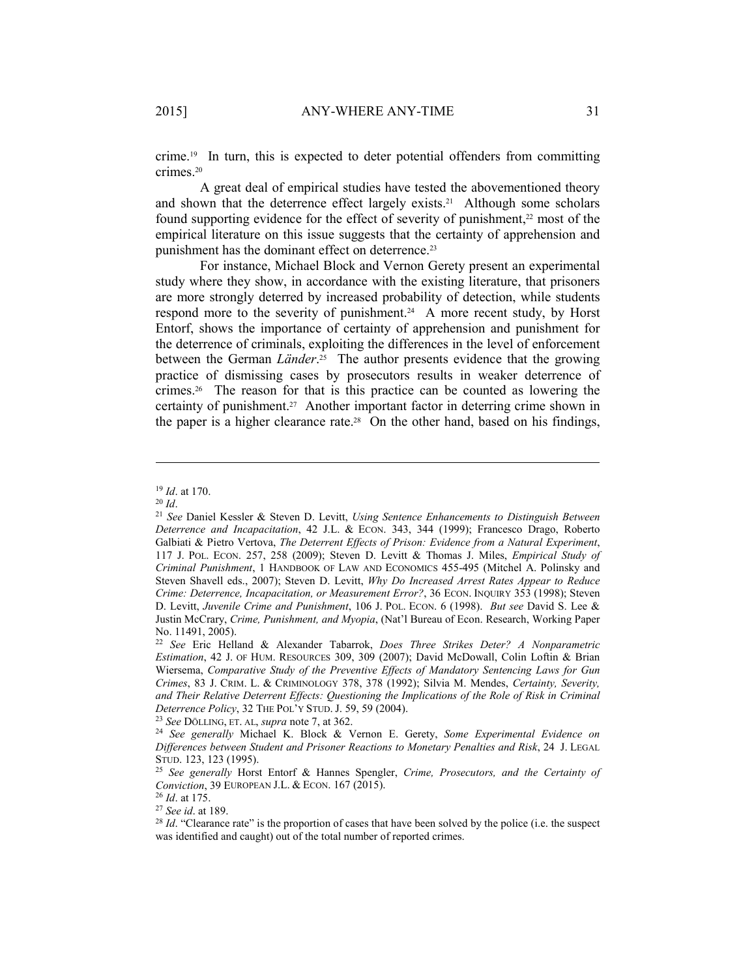crime.19 In turn, this is expected to deter potential offenders from committing crimes.20

A great deal of empirical studies have tested the abovementioned theory and shown that the deterrence effect largely exists.<sup>21</sup> Although some scholars found supporting evidence for the effect of severity of punishment, $22$  most of the empirical literature on this issue suggests that the certainty of apprehension and punishment has the dominant effect on deterrence.23

For instance, Michael Block and Vernon Gerety present an experimental study where they show, in accordance with the existing literature, that prisoners are more strongly deterred by increased probability of detection, while students respond more to the severity of punishment.<sup>24</sup> A more recent study, by Horst Entorf, shows the importance of certainty of apprehension and punishment for the deterrence of criminals, exploiting the differences in the level of enforcement between the German *Länder*. 25 The author presents evidence that the growing practice of dismissing cases by prosecutors results in weaker deterrence of crimes.26 The reason for that is this practice can be counted as lowering the certainty of punishment.27 Another important factor in deterring crime shown in the paper is a higher clearance rate.28 On the other hand, based on his findings,

<sup>19</sup> *Id*. at 170. 20 *Id*. 21 *See* Daniel Kessler & Steven D. Levitt, *Using Sentence Enhancements to Distinguish Between Deterrence and Incapacitation*, 42 J.L. & ECON. 343, 344 (1999); Francesco Drago, Roberto Galbiati & Pietro Vertova, *The Deterrent Effects of Prison: Evidence from a Natural Experiment*, 117 J. POL. ECON. 257, 258 (2009); Steven D. Levitt & Thomas J. Miles, *Empirical Study of Criminal Punishment*, 1 HANDBOOK OF LAW AND ECONOMICS 455-495 (Mitchel A. Polinsky and Steven Shavell eds., 2007); Steven D. Levitt, *Why Do Increased Arrest Rates Appear to Reduce Crime: Deterrence, Incapacitation, or Measurement Error?*, 36 ECON. INQUIRY 353 (1998); Steven D. Levitt, *Juvenile Crime and Punishment*, 106 J. POL. ECON. 6 (1998). *But see* David S. Lee & Justin McCrary, *Crime, Punishment, and Myopia*, (Nat'l Bureau of Econ. Research, Working Paper No. 11491, 2005).

<sup>22</sup> *See* Eric Helland & Alexander Tabarrok, *Does Three Strikes Deter? A Nonparametric Estimation*, 42 J. OF HUM. RESOURCES 309, 309 (2007); David McDowall, Colin Loftin & Brian Wiersema, *Comparative Study of the Preventive Effects of Mandatory Sentencing Laws for Gun Crimes*, 83 J. CRIM. L. & CRIMINOLOGY 378, 378 (1992); Silvia M. Mendes, *Certainty, Severity, and Their Relative Deterrent Effects: Questioning the Implications of the Role of Risk in Criminal* 

<sup>&</sup>lt;sup>23</sup> *See DÖLLING, ET. AL, supra* note 7, at 362. <sup>24</sup> *See DÖLLING, ET. AL, supra* note 7, at 362. <sup>24</sup> *See generally Michael K. Block & Vernon E. Gerety, <i>Some Experimental Evidence on Differences between Student and Prisoner Reactions to Monetary Penalties and Risk*, 24 J. LEGAL STUD. 123, 123 (1995). 25 *See generally* Horst Entorf & Hannes Spengler, *Crime, Prosecutors, and the Certainty of* 

*Conviction*, 39 EUROPEAN J.L. & ECON. 167 (2015).<br><sup>26</sup> *Id*. at 175.<br><sup>27</sup> *See id.* at 189.<br><sup>28</sup> *Id.* "Clearance rate" is the proportion of cases that have been solved by the police (i.e. the suspect  $^{28}$  *Id.* "Cleara

was identified and caught) out of the total number of reported crimes.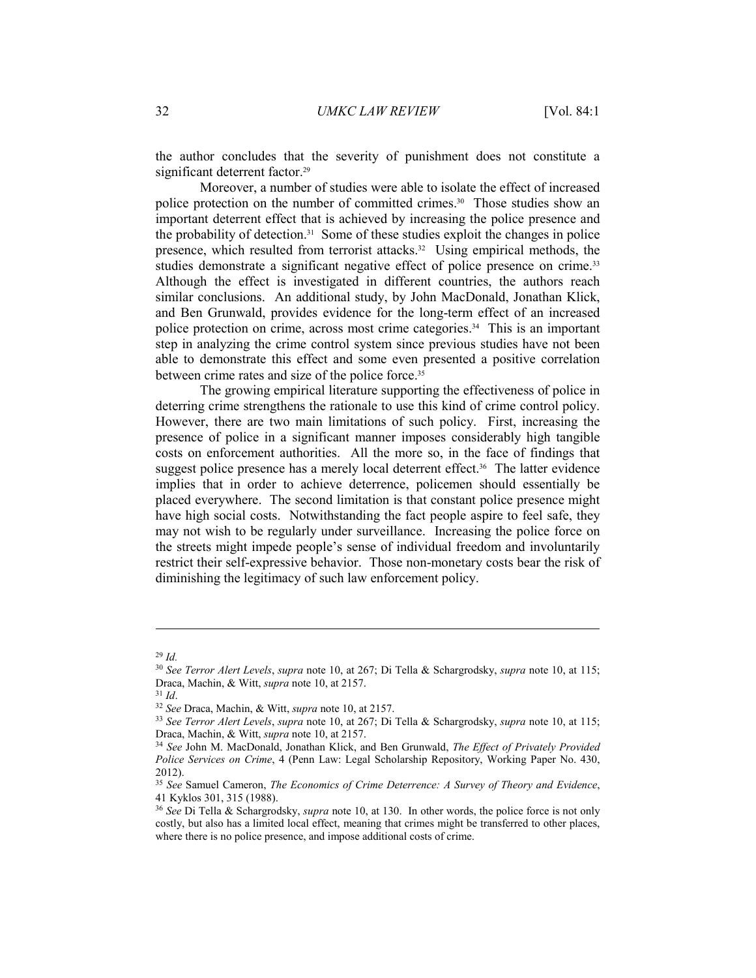the author concludes that the severity of punishment does not constitute a significant deterrent factor.<sup>29</sup>

Moreover, a number of studies were able to isolate the effect of increased police protection on the number of committed crimes.30 Those studies show an important deterrent effect that is achieved by increasing the police presence and the probability of detection.31 Some of these studies exploit the changes in police presence, which resulted from terrorist attacks.<sup>32</sup> Using empirical methods, the studies demonstrate a significant negative effect of police presence on crime.<sup>33</sup> Although the effect is investigated in different countries, the authors reach similar conclusions. An additional study, by John MacDonald, Jonathan Klick, and Ben Grunwald, provides evidence for the long-term effect of an increased police protection on crime, across most crime categories.34 This is an important step in analyzing the crime control system since previous studies have not been able to demonstrate this effect and some even presented a positive correlation between crime rates and size of the police force.35

The growing empirical literature supporting the effectiveness of police in deterring crime strengthens the rationale to use this kind of crime control policy. However, there are two main limitations of such policy. First, increasing the presence of police in a significant manner imposes considerably high tangible costs on enforcement authorities. All the more so, in the face of findings that suggest police presence has a merely local deterrent effect.<sup>36</sup> The latter evidence implies that in order to achieve deterrence, policemen should essentially be placed everywhere. The second limitation is that constant police presence might have high social costs. Notwithstanding the fact people aspire to feel safe, they may not wish to be regularly under surveillance. Increasing the police force on the streets might impede people's sense of individual freedom and involuntarily restrict their self-expressive behavior. Those non-monetary costs bear the risk of diminishing the legitimacy of such law enforcement policy.

<sup>29</sup> *Id.*

<sup>30</sup> *See Terror Alert Levels*, *supra* note 10, at 267; Di Tella & Schargrodsky, *supra* note 10, at 115;

<sup>&</sup>lt;sup>31</sup> *Id.*<br><sup>32</sup> *See* Draca, Machin, & Witt, *supra* note 10, at 2157.<br><sup>33</sup> *See Terror Alert Levels, supra* note 10, at 267; Di Tella & Schargrodsky, *supra* note 10, at 115; Draca, Machin, & Witt, *supra* note 10, at 21

<sup>&</sup>lt;sup>34</sup> See John M. MacDonald, Jonathan Klick, and Ben Grunwald, *The Effect of Privately Provided Police Services on Crime*, 4 (Penn Law: Legal Scholarship Repository, Working Paper No. 430, 2012).

<sup>35</sup> *See* Samuel Cameron, *The Economics of Crime Deterrence: A Survey of Theory and Evidence*, 41 Kyklos 301, 315 (1988).

<sup>36</sup> *See* Di Tella & Schargrodsky, *supra* note 10, at 130. In other words, the police force is not only costly, but also has a limited local effect, meaning that crimes might be transferred to other places, where there is no police presence, and impose additional costs of crime.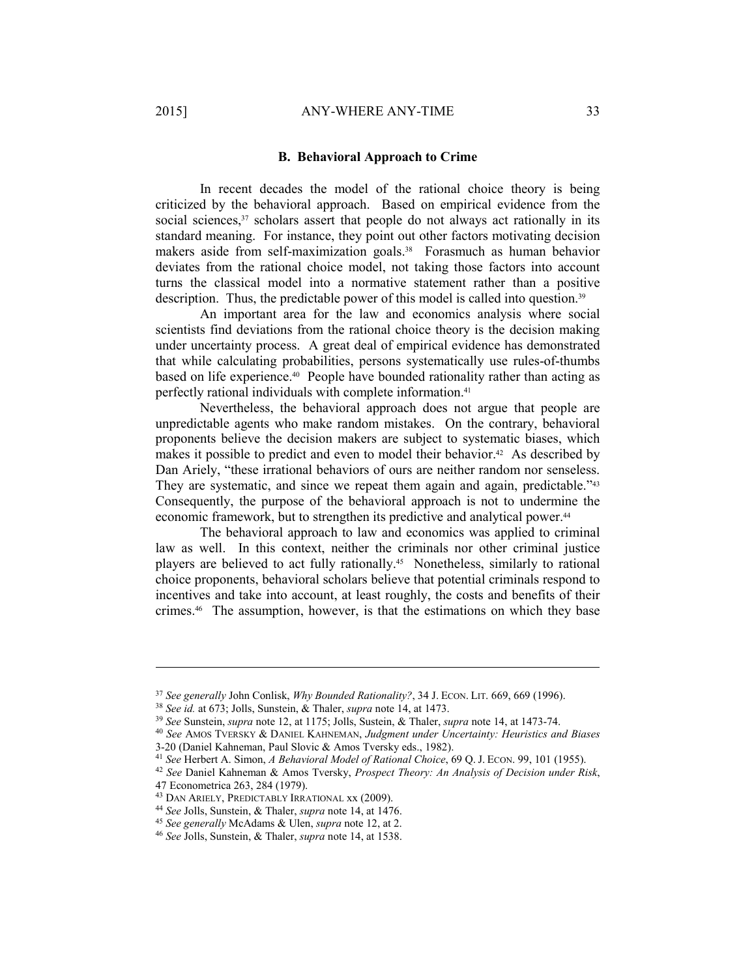#### **B. Behavioral Approach to Crime**

In recent decades the model of the rational choice theory is being criticized by the behavioral approach. Based on empirical evidence from the social sciences,<sup>37</sup> scholars assert that people do not always act rationally in its standard meaning. For instance, they point out other factors motivating decision makers aside from self-maximization goals.<sup>38</sup> Forasmuch as human behavior deviates from the rational choice model, not taking those factors into account turns the classical model into a normative statement rather than a positive description. Thus, the predictable power of this model is called into question.<sup>39</sup>

An important area for the law and economics analysis where social scientists find deviations from the rational choice theory is the decision making under uncertainty process. A great deal of empirical evidence has demonstrated that while calculating probabilities, persons systematically use rules-of-thumbs based on life experience.40 People have bounded rationality rather than acting as perfectly rational individuals with complete information.41

Nevertheless, the behavioral approach does not argue that people are unpredictable agents who make random mistakes. On the contrary, behavioral proponents believe the decision makers are subject to systematic biases, which makes it possible to predict and even to model their behavior.<sup>42</sup> As described by Dan Ariely, "these irrational behaviors of ours are neither random nor senseless. They are systematic, and since we repeat them again and again, predictable.<sup>243</sup> Consequently, the purpose of the behavioral approach is not to undermine the economic framework, but to strengthen its predictive and analytical power.<sup>44</sup>

The behavioral approach to law and economics was applied to criminal law as well. In this context, neither the criminals nor other criminal justice players are believed to act fully rationally.45 Nonetheless, similarly to rational choice proponents, behavioral scholars believe that potential criminals respond to incentives and take into account, at least roughly, the costs and benefits of their crimes.46 The assumption, however, is that the estimations on which they base

<sup>&</sup>lt;sup>37</sup> See generally John Conlisk, *Why Bounded Rationality*?, 34 J. ECON. LIT. 669, 669 (1996).<br><sup>38</sup> See id. at 673; Jolls, Sunstein, & Thaler, *supra* note 14, at 1473.<br><sup>39</sup> See Sunstein, *supra* note 12, at 1175; Jolls,

<sup>3-20 (</sup>Daniel Kahneman, Paul Slovic & Amos Tversky eds., 1982).<br><sup>41</sup> See Herbert A. Simon, A Behavioral Model of Rational Choice, 69 Q. J. ECON. 99, 101 (1955).

<sup>&</sup>lt;sup>42</sup> See Daniel Kahneman & Amos Tversky, Prospect Theory: An Analysis of Decision under Risk, 47 Econometrica 263, 284 (1979).<br><sup>43</sup> DAN ARIELY, PREDICTABLY IRRATIONAL xx (2009).

<sup>&</sup>lt;sup>44</sup> See Jolls, Sunstein, & Thaler, *supra* note 14, at 1476.<br><sup>45</sup> See generally McAdams & Ulen, *supra* note 12, at 2.<br><sup>46</sup> See Jolls, Sunstein, & Thaler, *supra* note 14, at 1538.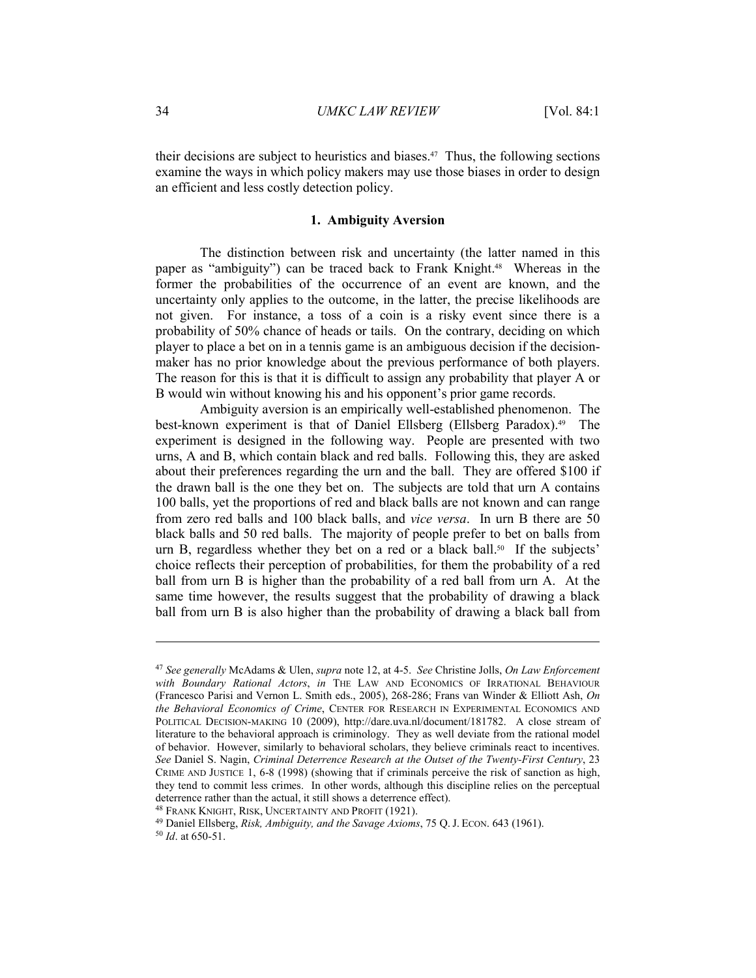their decisions are subject to heuristics and biases.47 Thus, the following sections examine the ways in which policy makers may use those biases in order to design an efficient and less costly detection policy.

## **1. Ambiguity Aversion**

The distinction between risk and uncertainty (the latter named in this paper as "ambiguity") can be traced back to Frank Knight.<sup>48</sup> Whereas in the former the probabilities of the occurrence of an event are known, and the uncertainty only applies to the outcome, in the latter, the precise likelihoods are not given. For instance, a toss of a coin is a risky event since there is a probability of 50% chance of heads or tails. On the contrary, deciding on which player to place a bet on in a tennis game is an ambiguous decision if the decisionmaker has no prior knowledge about the previous performance of both players. The reason for this is that it is difficult to assign any probability that player A or B would win without knowing his and his opponent's prior game records.

Ambiguity aversion is an empirically well-established phenomenon. The best-known experiment is that of Daniel Ellsberg (Ellsberg Paradox).49 The experiment is designed in the following way. People are presented with two urns, A and B, which contain black and red balls. Following this, they are asked about their preferences regarding the urn and the ball. They are offered \$100 if the drawn ball is the one they bet on. The subjects are told that urn A contains 100 balls, yet the proportions of red and black balls are not known and can range from zero red balls and 100 black balls, and *vice versa*. In urn B there are 50 black balls and 50 red balls. The majority of people prefer to bet on balls from urn B, regardless whether they bet on a red or a black ball.<sup>50</sup> If the subjects' choice reflects their perception of probabilities, for them the probability of a red ball from urn B is higher than the probability of a red ball from urn A. At the same time however, the results suggest that the probability of drawing a black ball from urn B is also higher than the probability of drawing a black ball from

<sup>47</sup> *See generally* McAdams & Ulen, *supra* note 12, at 4-5. *See* Christine Jolls, *On Law Enforcement with Boundary Rational Actors*, *in* THE LAW AND ECONOMICS OF IRRATIONAL BEHAVIOUR (Francesco Parisi and Vernon L. Smith eds., 2005), 268-286; Frans van Winder & Elliott Ash, *On the Behavioral Economics of Crime*, CENTER FOR RESEARCH IN EXPERIMENTAL ECONOMICS AND POLITICAL DECISION-MAKING 10 (2009), http://dare.uva.nl/document/181782. A close stream of literature to the behavioral approach is criminology. They as well deviate from the rational model of behavior. However, similarly to behavioral scholars, they believe criminals react to incentives. *See* Daniel S. Nagin, *Criminal Deterrence Research at the Outset of the Twenty-First Century*, 23 CRIME AND JUSTICE 1, 6-8 (1998) (showing that if criminals perceive the risk of sanction as high, they tend to commit less crimes. In other words, although this discipline relies on the perceptual deterrence rather than the actual, it still shows a deterrence effect).<br><sup>48</sup> FRANK KNIGHT, RISK, UNCERTAINTY AND PROFIT (1921).<br><sup>49</sup> Daniel Ellsberg, *Risk, Ambiguity, and the Savage Axioms*, 75 Q. J. ECON. 643 (1961).<br><sup>50</sup>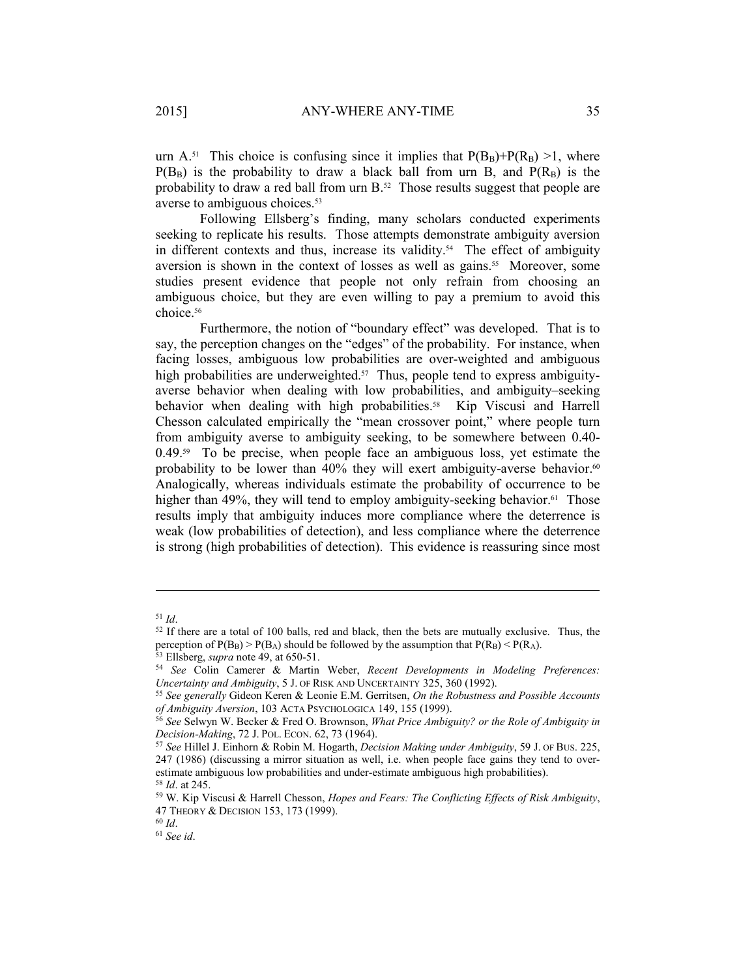urn A.<sup>51</sup> This choice is confusing since it implies that  $P(B_B)+P(R_B) > 1$ , where  $P(B_B)$  is the probability to draw a black ball from urn B, and  $P(R_B)$  is the probability to draw a red ball from urn B.<sup>52</sup> Those results suggest that people are averse to ambiguous choices.<sup>53</sup>

Following Ellsberg's finding, many scholars conducted experiments seeking to replicate his results. Those attempts demonstrate ambiguity aversion in different contexts and thus, increase its validity.<sup>54</sup> The effect of ambiguity aversion is shown in the context of losses as well as gains.<sup>55</sup> Moreover, some studies present evidence that people not only refrain from choosing an ambiguous choice, but they are even willing to pay a premium to avoid this choice.56

Furthermore, the notion of "boundary effect" was developed. That is to say, the perception changes on the "edges" of the probability. For instance, when facing losses, ambiguous low probabilities are over-weighted and ambiguous high probabilities are underweighted.<sup>57</sup> Thus, people tend to express ambiguityaverse behavior when dealing with low probabilities, and ambiguity–seeking behavior when dealing with high probabilities.<sup>58</sup> Kip Viscusi and Harrell Chesson calculated empirically the "mean crossover point," where people turn from ambiguity averse to ambiguity seeking, to be somewhere between 0.40-  $0.49<sup>59</sup>$  To be precise, when people face an ambiguous loss, yet estimate the probability to be lower than 40% they will exert ambiguity-averse behavior.<sup>60</sup> Analogically, whereas individuals estimate the probability of occurrence to be higher than 49%, they will tend to employ ambiguity-seeking behavior.<sup>61</sup> Those results imply that ambiguity induces more compliance where the deterrence is weak (low probabilities of detection), and less compliance where the deterrence is strong (high probabilities of detection). This evidence is reassuring since most

<sup>&</sup>lt;sup>51</sup> *Id*. <sup>52</sup> If there are a total of 100 balls, red and black, then the bets are mutually exclusive. Thus, the perception of  $P(B_B) > P(B_A)$  should be followed by the assumption that  $P(R_B) < P(R_A)$ .

 $53$  Ellsberg, *supra* note 49, at 650-51.<br>
<sup>54</sup> See Colin Camerer & Martin Weber, *Recent Developments in Modeling Preferences:*<br> *Uncertainty and Ambiguity*, 5 J. of RISK AND UNCERTAINTY 325, 360 (1992).

<sup>&</sup>lt;sup>55</sup> See generally Gideon Keren & Leonie E.M. Gerritsen, *On the Robustness and Possible Accounts* of *Ambiguity Aversion*, 103 ACTA PSYCHOLOGICA 149, 155 (1999).

<sup>&</sup>lt;sup>56</sup> See Selwyn W. Becker & Fred O. Brownson, *What Price Ambiguity? or the Role of Ambiguity in Decision-Making, 72 J. Pol. ECON. 62, 73 (1964).* 

<sup>&</sup>lt;sup>57</sup> See Hillel J. Einhorn & Robin M. Hogarth, *Decision Making under Ambiguity*, 59 J. OF BUS. 225, 247 (1986) (discussing a mirror situation as well, i.e. when people face gains they tend to overestimate ambiguous low probabilities and under-estimate ambiguous high probabilities). 58 *Id*. at 245. 59 W. Kip Viscusi & Harrell Chesson, *Hopes and Fears: The Conflicting Effects of Risk Ambiguity*,

<sup>47</sup> THEORY & DECISION 153, 173 (1999). 60 *Id*. 61 *See id*.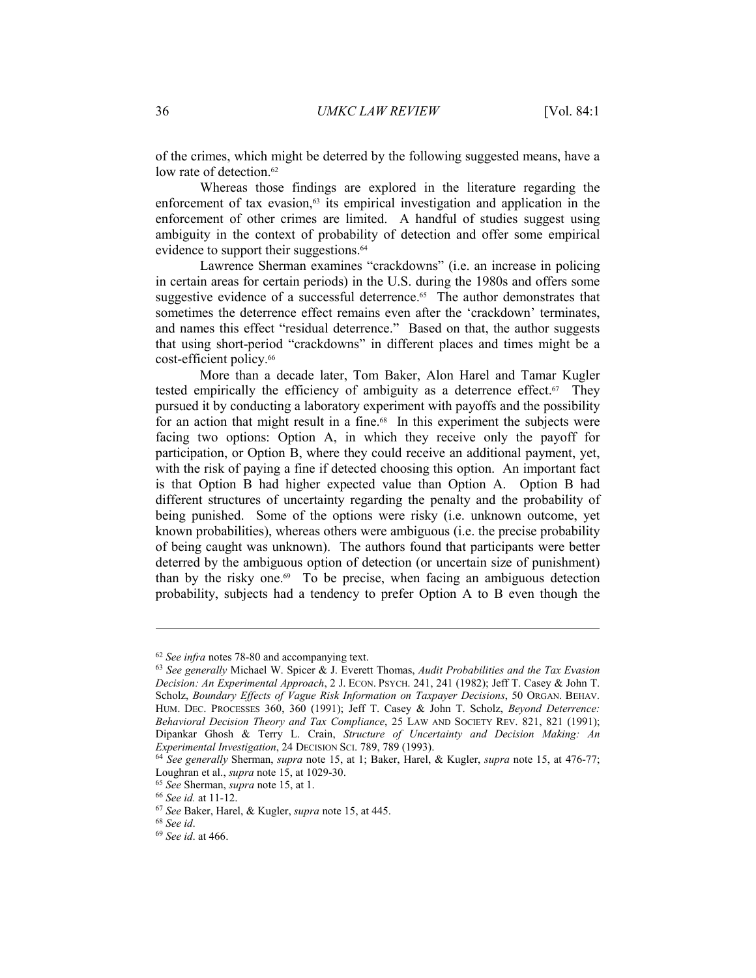of the crimes, which might be deterred by the following suggested means, have a low rate of detection.<sup>62</sup>

Whereas those findings are explored in the literature regarding the enforcement of tax evasion, $63$  its empirical investigation and application in the enforcement of other crimes are limited. A handful of studies suggest using ambiguity in the context of probability of detection and offer some empirical evidence to support their suggestions.<sup>64</sup>

Lawrence Sherman examines "crackdowns" (i.e. an increase in policing in certain areas for certain periods) in the U.S. during the 1980s and offers some suggestive evidence of a successful deterrence.<sup>65</sup> The author demonstrates that sometimes the deterrence effect remains even after the 'crackdown' terminates, and names this effect "residual deterrence." Based on that, the author suggests that using short-period "crackdowns" in different places and times might be a cost-efficient policy.66

More than a decade later, Tom Baker, Alon Harel and Tamar Kugler tested empirically the efficiency of ambiguity as a deterrence effect.<sup>67</sup> They pursued it by conducting a laboratory experiment with payoffs and the possibility for an action that might result in a fine.<sup>68</sup> In this experiment the subjects were facing two options: Option A, in which they receive only the payoff for participation, or Option B, where they could receive an additional payment, yet, with the risk of paying a fine if detected choosing this option. An important fact is that Option B had higher expected value than Option A. Option B had different structures of uncertainty regarding the penalty and the probability of being punished. Some of the options were risky (i.e. unknown outcome, yet known probabilities), whereas others were ambiguous (i.e. the precise probability of being caught was unknown). The authors found that participants were better deterred by the ambiguous option of detection (or uncertain size of punishment) than by the risky one.69 To be precise, when facing an ambiguous detection probability, subjects had a tendency to prefer Option A to B even though the

<sup>62</sup> *See infra* notes 78-80 and accompanying text. 63 *See generally* Michael W. Spicer & J. Everett Thomas, *Audit Probabilities and the Tax Evasion Decision: An Experimental Approach*, 2 J. ECON. PSYCH. 241, 241 (1982); Jeff T. Casey & John T. Scholz, *Boundary Effects of Vague Risk Information on Taxpayer Decisions*, 50 ORGAN. BEHAV. HUM. DEC. PROCESSES 360, 360 (1991); Jeff T. Casey & John T. Scholz, *Beyond Deterrence: Behavioral Decision Theory and Tax Compliance*, 25 LAW AND SOCIETY REV. 821, 821 (1991); Dipankar Ghosh & Terry L. Crain, *Structure of Uncertainty and Decision Making: An Experimental Investigation*, 24 DECISION SCI. 789, 789 (1993). 64 *See generally* Sherman, *supra* note 15, at 1; Baker, Harel, & Kugler, *supra* note 15, at 476-77;

Loughran et al., *supra* note 15, at 1029-30.<br>
<sup>65</sup> See Sherman, *supra* note 15, at 1.<br>
<sup>66</sup> See id. at 11-12.<br>
<sup>67</sup> See Baker, Harel, & Kugler, *supra* note 15, at 445.<br>
<sup>68</sup> See id. at 466.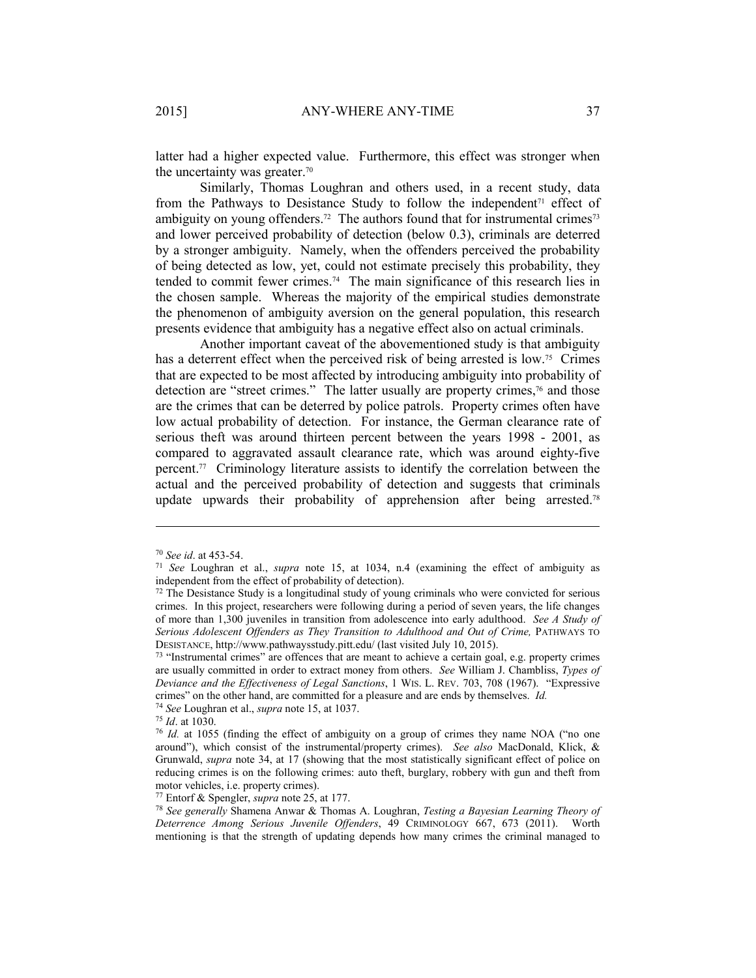latter had a higher expected value. Furthermore, this effect was stronger when the uncertainty was greater.70

Similarly, Thomas Loughran and others used, in a recent study, data from the Pathways to Desistance Study to follow the independent<sup> $71$ </sup> effect of ambiguity on young offenders.<sup>72</sup> The authors found that for instrumental crimes<sup>73</sup> and lower perceived probability of detection (below 0.3), criminals are deterred by a stronger ambiguity. Namely, when the offenders perceived the probability of being detected as low, yet, could not estimate precisely this probability, they tended to commit fewer crimes.74 The main significance of this research lies in the chosen sample. Whereas the majority of the empirical studies demonstrate the phenomenon of ambiguity aversion on the general population, this research presents evidence that ambiguity has a negative effect also on actual criminals.

Another important caveat of the abovementioned study is that ambiguity has a deterrent effect when the perceived risk of being arrested is low.<sup>75</sup> Crimes that are expected to be most affected by introducing ambiguity into probability of detection are "street crimes." The latter usually are property crimes,<sup>76</sup> and those are the crimes that can be deterred by police patrols. Property crimes often have low actual probability of detection. For instance, the German clearance rate of serious theft was around thirteen percent between the years 1998 - 2001, as compared to aggravated assault clearance rate, which was around eighty-five percent.77 Criminology literature assists to identify the correlation between the actual and the perceived probability of detection and suggests that criminals update upwards their probability of apprehension after being arrested.78

<sup>70</sup> *See id*. at 453-54. 71 *See* Loughran et al., *supra* note 15, at 1034, n.4 (examining the effect of ambiguity as independent from the effect of probability of detection).

 $72$  The Desistance Study is a longitudinal study of young criminals who were convicted for serious crimes. In this project, researchers were following during a period of seven years, the life changes of more than 1,300 juveniles in transition from adolescence into early adulthood. *See A Study of*  Serious Adolescent Offenders as They Transition to Adulthood and Out of Crime, PATHWAYS TO DESISTANCE, http://www.pathwaysstudy.pitt.edu/ (last visited July 10, 2015). 73 "Instrumental crimes" are offences that are meant to achieve a certain goal, e.g. property crimes

are usually committed in order to extract money from others. *See* William J. Chambliss, *Types of Deviance and the Effectiveness of Legal Sanctions*, 1 WIS. L. REV. 703, 708 (1967). "Expressive crimes" on the other hand, are committed for a pleasure and are ends by themselves. *Id.*

<sup>&</sup>lt;sup>74</sup> *See* Loughran et al., *supra* note 15, at 1037.<br><sup>75</sup> *Id.* at 1030.<br><sup>76</sup> *Id.* at 1055 (finding the effect of ambiguity on a group of crimes they name NOA ("no one around"), which consist of the instrumental/property crimes). *See also* MacDonald, Klick, & Grunwald, *supra* note 34, at 17 (showing that the most statistically significant effect of police on reducing crimes is on the following crimes: auto theft, burglary, robbery with gun and theft from motor vehicles, i.e. property crimes).

<sup>77</sup> Entorf & Spengler, *supra* note 25, at 177. 78 *See generally* Shamena Anwar & Thomas A. Loughran, *Testing a Bayesian Learning Theory of Deterrence Among Serious Juvenile Offenders*, 49 CRIMINOLOGY 667, 673 (2011). Worth mentioning is that the strength of updating depends how many crimes the criminal managed to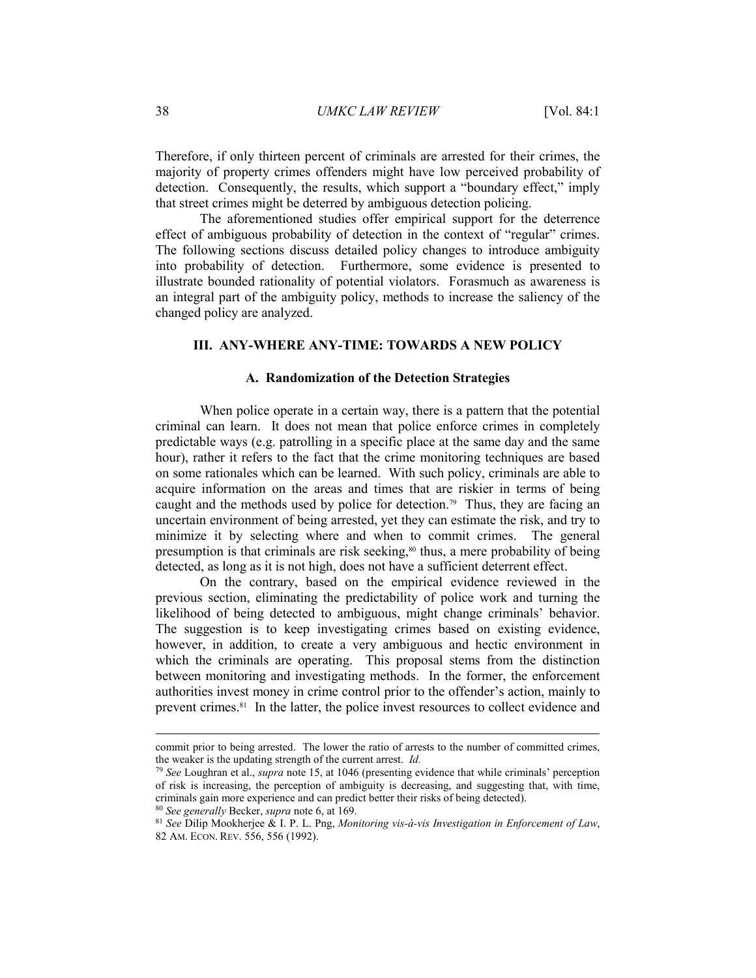Therefore, if only thirteen percent of criminals are arrested for their crimes, the majority of property crimes offenders might have low perceived probability of detection. Consequently, the results, which support a "boundary effect," imply that street crimes might be deterred by ambiguous detection policing.

The aforementioned studies offer empirical support for the deterrence effect of ambiguous probability of detection in the context of "regular" crimes. The following sections discuss detailed policy changes to introduce ambiguity into probability of detection. Furthermore, some evidence is presented to illustrate bounded rationality of potential violators. Forasmuch as awareness is an integral part of the ambiguity policy, methods to increase the saliency of the changed policy are analyzed.

# **III. ANY-WHERE ANY-TIME: TOWARDS A NEW POLICY**

## **A. Randomization of the Detection Strategies**

When police operate in a certain way, there is a pattern that the potential criminal can learn. It does not mean that police enforce crimes in completely predictable ways (e.g. patrolling in a specific place at the same day and the same hour), rather it refers to the fact that the crime monitoring techniques are based on some rationales which can be learned. With such policy, criminals are able to acquire information on the areas and times that are riskier in terms of being caught and the methods used by police for detection.79 Thus, they are facing an uncertain environment of being arrested, yet they can estimate the risk, and try to minimize it by selecting where and when to commit crimes. The general presumption is that criminals are risk seeking,80 thus, a mere probability of being detected, as long as it is not high, does not have a sufficient deterrent effect.

On the contrary, based on the empirical evidence reviewed in the previous section, eliminating the predictability of police work and turning the likelihood of being detected to ambiguous, might change criminals' behavior. The suggestion is to keep investigating crimes based on existing evidence, however, in addition, to create a very ambiguous and hectic environment in which the criminals are operating. This proposal stems from the distinction between monitoring and investigating methods. In the former, the enforcement authorities invest money in crime control prior to the offender's action, mainly to prevent crimes.81 In the latter, the police invest resources to collect evidence and

commit prior to being arrested. The lower the ratio of arrests to the number of committed crimes, the weaker is the updating strength of the current arrest. *Id.*

<sup>79</sup> *See* Loughran et al., *supra* note 15, at 1046 (presenting evidence that while criminals' perception of risk is increasing, the perception of ambiguity is decreasing, and suggesting that, with time, criminals gain more experience and can predict better their risks of being detected).<br><sup>80</sup> See generally Becker, supra note 6, at 169.<br><sup>81</sup> See Dilip Mookherjee & I. P. L. Png, *Monitoring vis-à-vis Investigation in Enforc* 

<sup>82</sup> AM. ECON. REV. 556, 556 (1992).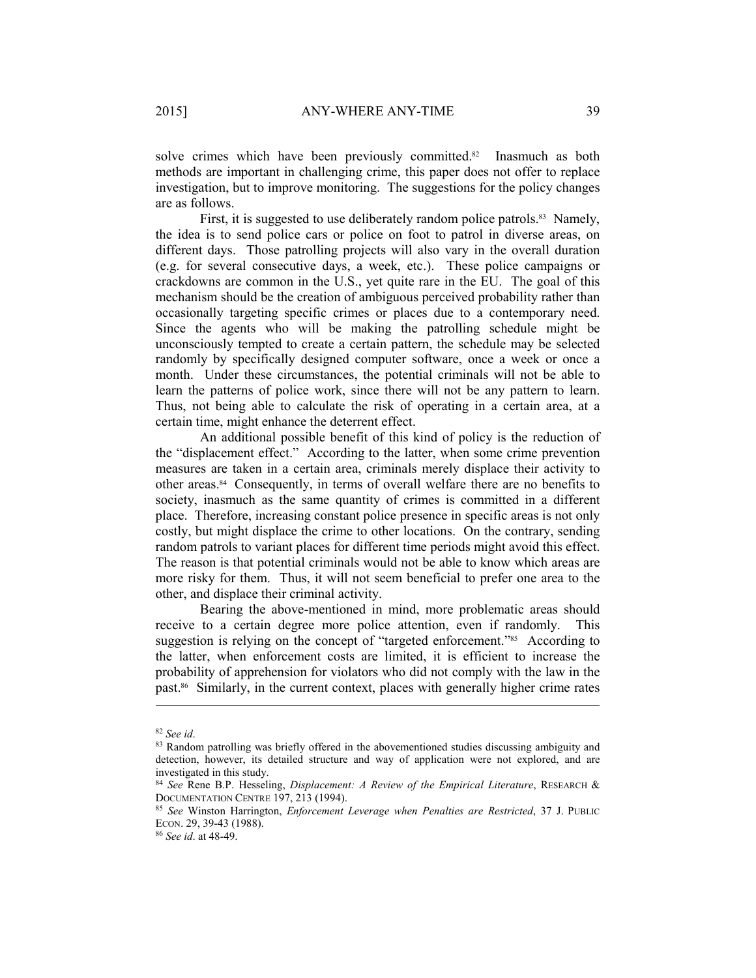solve crimes which have been previously committed.<sup>82</sup> Inasmuch as both methods are important in challenging crime, this paper does not offer to replace investigation, but to improve monitoring. The suggestions for the policy changes are as follows.

First, it is suggested to use deliberately random police patrols.<sup>83</sup> Namely, the idea is to send police cars or police on foot to patrol in diverse areas, on different days. Those patrolling projects will also vary in the overall duration (e.g. for several consecutive days, a week, etc.). These police campaigns or crackdowns are common in the U.S., yet quite rare in the EU. The goal of this mechanism should be the creation of ambiguous perceived probability rather than occasionally targeting specific crimes or places due to a contemporary need. Since the agents who will be making the patrolling schedule might be unconsciously tempted to create a certain pattern, the schedule may be selected randomly by specifically designed computer software, once a week or once a month. Under these circumstances, the potential criminals will not be able to learn the patterns of police work, since there will not be any pattern to learn. Thus, not being able to calculate the risk of operating in a certain area, at a certain time, might enhance the deterrent effect.

An additional possible benefit of this kind of policy is the reduction of the "displacement effect." According to the latter, when some crime prevention measures are taken in a certain area, criminals merely displace their activity to other areas.84 Consequently, in terms of overall welfare there are no benefits to society, inasmuch as the same quantity of crimes is committed in a different place. Therefore, increasing constant police presence in specific areas is not only costly, but might displace the crime to other locations. On the contrary, sending random patrols to variant places for different time periods might avoid this effect. The reason is that potential criminals would not be able to know which areas are more risky for them. Thus, it will not seem beneficial to prefer one area to the other, and displace their criminal activity.

Bearing the above-mentioned in mind, more problematic areas should receive to a certain degree more police attention, even if randomly. This suggestion is relying on the concept of "targeted enforcement."<sup>85</sup> According to the latter, when enforcement costs are limited, it is efficient to increase the probability of apprehension for violators who did not comply with the law in the past.86 Similarly, in the current context, places with generally higher crime rates

<sup>&</sup>lt;sup>82</sup> *See id*.<br><sup>83</sup> Random patrolling was briefly offered in the abovementioned studies discussing ambiguity and detection, however, its detailed structure and way of application were not explored, and are investigated in this study.

<sup>84</sup> *See* Rene B.P. Hesseling, *Displacement: A Review of the Empirical Literature*, RESEARCH &

<sup>85</sup> See Winston Harrington, *Enforcement Leverage when Penalties are Restricted*, 37 J. PUBLIC ECON. 29, 39-43 (1988). 86 *See id*. at 48-49.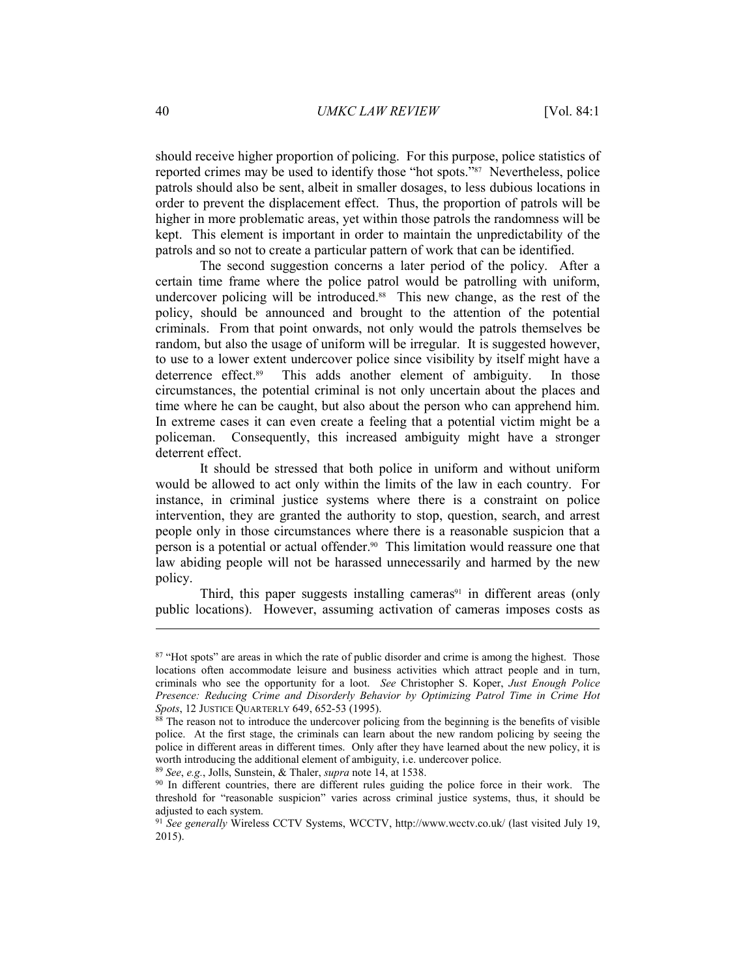should receive higher proportion of policing. For this purpose, police statistics of reported crimes may be used to identify those "hot spots."87 Nevertheless, police patrols should also be sent, albeit in smaller dosages, to less dubious locations in order to prevent the displacement effect. Thus, the proportion of patrols will be higher in more problematic areas, yet within those patrols the randomness will be kept. This element is important in order to maintain the unpredictability of the patrols and so not to create a particular pattern of work that can be identified.

The second suggestion concerns a later period of the policy. After a certain time frame where the police patrol would be patrolling with uniform, undercover policing will be introduced.<sup>88</sup> This new change, as the rest of the policy, should be announced and brought to the attention of the potential criminals. From that point onwards, not only would the patrols themselves be random, but also the usage of uniform will be irregular. It is suggested however, to use to a lower extent undercover police since visibility by itself might have a deterrence effect.89 This adds another element of ambiguity. In those circumstances, the potential criminal is not only uncertain about the places and time where he can be caught, but also about the person who can apprehend him. In extreme cases it can even create a feeling that a potential victim might be a policeman. Consequently, this increased ambiguity might have a stronger deterrent effect.

It should be stressed that both police in uniform and without uniform would be allowed to act only within the limits of the law in each country. For instance, in criminal justice systems where there is a constraint on police intervention, they are granted the authority to stop, question, search, and arrest people only in those circumstances where there is a reasonable suspicion that a person is a potential or actual offender.90 This limitation would reassure one that law abiding people will not be harassed unnecessarily and harmed by the new policy.

Third, this paper suggests installing cameras $91$  in different areas (only public locations). However, assuming activation of cameras imposes costs as

<sup>&</sup>lt;sup>87</sup> "Hot spots" are areas in which the rate of public disorder and crime is among the highest. Those locations often accommodate leisure and business activities which attract people and in turn, criminals who see the opportunity for a loot. *See* Christopher S. Koper, *Just Enough Police Presence: Reducing Crime and Disorderly Behavior by Optimizing Patrol Time in Crime Hot Spots*, 12 JUSTICE QUARTERLY 649, 652-53 (1995).<br><sup>88</sup> The reason not to introduce the undercover policing from the beginning is the benefits of visible

police. At the first stage, the criminals can learn about the new random policing by seeing the police in different areas in different times. Only after they have learned about the new policy, it is worth introducing the additional element of ambiguity, i.e. undercover police.<br><sup>89</sup> See, e.g., Jolls, Sunstein, & Thaler, *supra* note 14, at 1538.<br><sup>90</sup> In different countries, there are different rules guiding the police

threshold for "reasonable suspicion" varies across criminal justice systems, thus, it should be adjusted to each system.

<sup>91</sup> *See generally* Wireless CCTV Systems, WCCTV, http://www.wcctv.co.uk/ (last visited July 19, 2015).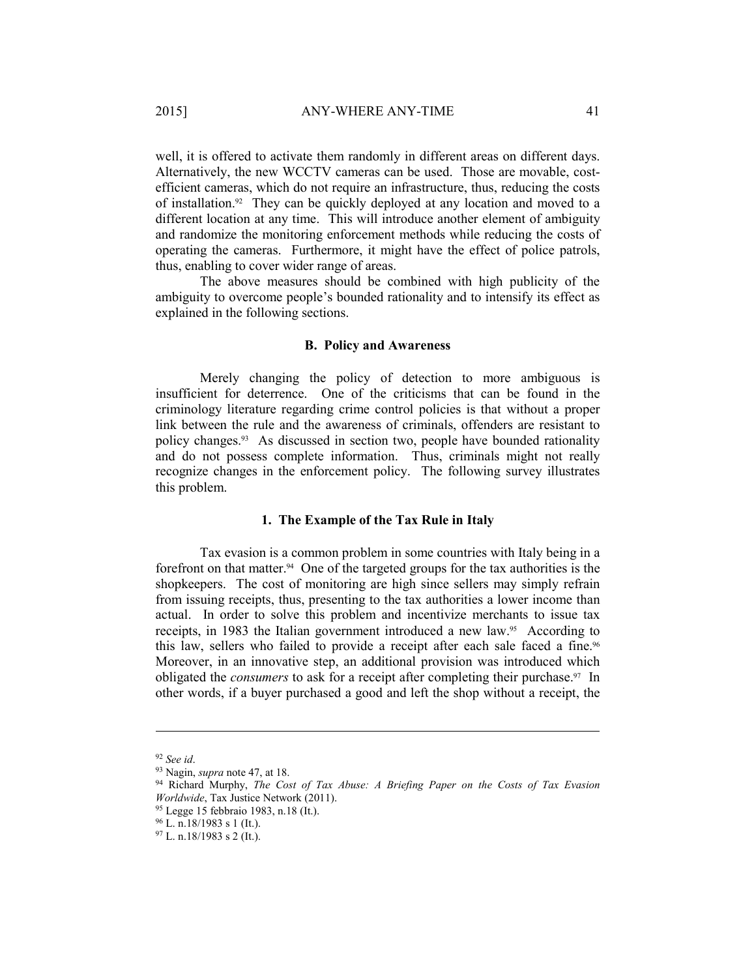well, it is offered to activate them randomly in different areas on different days. Alternatively, the new WCCTV cameras can be used. Those are movable, costefficient cameras, which do not require an infrastructure, thus, reducing the costs of installation.92 They can be quickly deployed at any location and moved to a different location at any time. This will introduce another element of ambiguity and randomize the monitoring enforcement methods while reducing the costs of operating the cameras. Furthermore, it might have the effect of police patrols, thus, enabling to cover wider range of areas.

The above measures should be combined with high publicity of the ambiguity to overcome people's bounded rationality and to intensify its effect as explained in the following sections.

## **B. Policy and Awareness**

Merely changing the policy of detection to more ambiguous is insufficient for deterrence. One of the criticisms that can be found in the criminology literature regarding crime control policies is that without a proper link between the rule and the awareness of criminals, offenders are resistant to policy changes.93 As discussed in section two, people have bounded rationality and do not possess complete information. Thus, criminals might not really recognize changes in the enforcement policy. The following survey illustrates this problem.

## **1. The Example of the Tax Rule in Italy**

Tax evasion is a common problem in some countries with Italy being in a forefront on that matter.<sup>94</sup> One of the targeted groups for the tax authorities is the shopkeepers. The cost of monitoring are high since sellers may simply refrain from issuing receipts, thus, presenting to the tax authorities a lower income than actual. In order to solve this problem and incentivize merchants to issue tax receipts, in 1983 the Italian government introduced a new law.95 According to this law, sellers who failed to provide a receipt after each sale faced a fine.<sup>96</sup> Moreover, in an innovative step, an additional provision was introduced which obligated the *consumers* to ask for a receipt after completing their purchase.97 In other words, if a buyer purchased a good and left the shop without a receipt, the

<sup>92</sup> *See id*. 93 Nagin, *supra* note 47, at 18. 94 Richard Murphy, *The Cost of Tax Abuse: A Briefing Paper on the Costs of Tax Evasion Worldwide*, Tax Justice Network (2011). 95 Legge 15 febbraio 1983, n.18 (It.).

 $96$  L. n.18/1983 s 1 (It.).

 $97$  L. n.18/1983 s 2 (It.).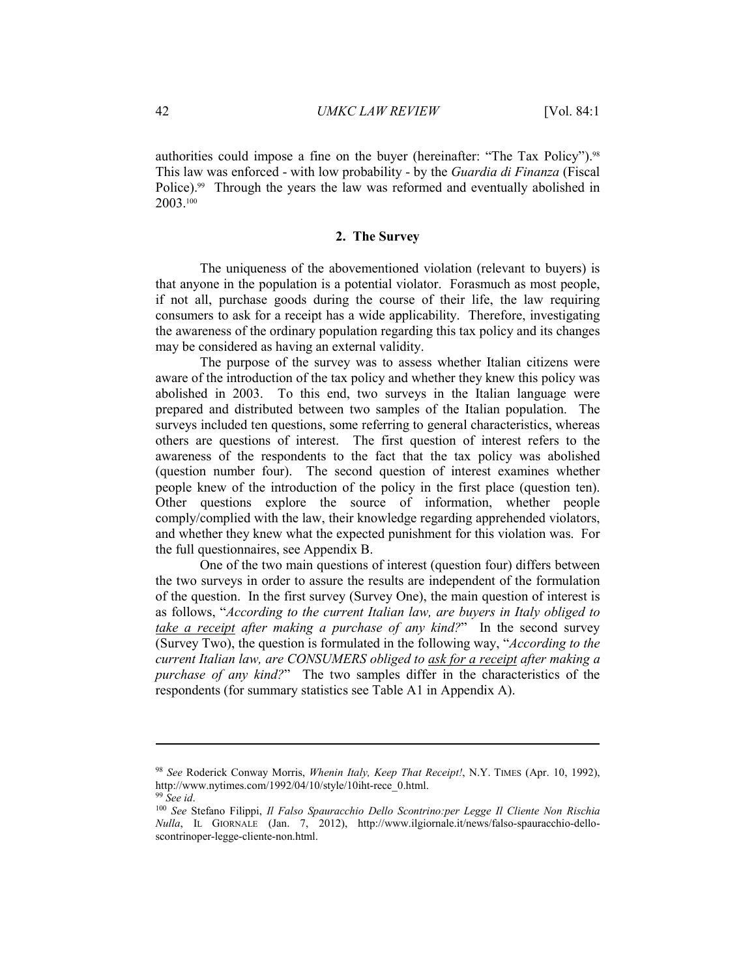authorities could impose a fine on the buyer (hereinafter: "The Tax Policy").98 This law was enforced - with low probability - by the *Guardia di Finanza* (Fiscal Police).99 Through the years the law was reformed and eventually abolished in 2003.100

## **2. The Survey**

The uniqueness of the abovementioned violation (relevant to buyers) is that anyone in the population is a potential violator. Forasmuch as most people, if not all, purchase goods during the course of their life, the law requiring consumers to ask for a receipt has a wide applicability. Therefore, investigating the awareness of the ordinary population regarding this tax policy and its changes may be considered as having an external validity.

The purpose of the survey was to assess whether Italian citizens were aware of the introduction of the tax policy and whether they knew this policy was abolished in 2003. To this end, two surveys in the Italian language were prepared and distributed between two samples of the Italian population. The surveys included ten questions, some referring to general characteristics, whereas others are questions of interest. The first question of interest refers to the awareness of the respondents to the fact that the tax policy was abolished (question number four). The second question of interest examines whether people knew of the introduction of the policy in the first place (question ten). Other questions explore the source of information, whether people comply/complied with the law, their knowledge regarding apprehended violators, and whether they knew what the expected punishment for this violation was. For the full questionnaires, see Appendix B.

One of the two main questions of interest (question four) differs between the two surveys in order to assure the results are independent of the formulation of the question. In the first survey (Survey One), the main question of interest is as follows, "*According to the current Italian law, are buyers in Italy obliged to take a receipt after making a purchase of any kind?*" In the second survey (Survey Two), the question is formulated in the following way, "*According to the current Italian law, are CONSUMERS obliged to ask for a receipt after making a purchase of any kind?*" The two samples differ in the characteristics of the respondents (for summary statistics see Table A1 in Appendix A).

<sup>98</sup> *See* Roderick Conway Morris, *Whenin Italy, Keep That Receipt!*, N.Y. TIMES (Apr. 10, 1992), http://www.nytimes.com/1992/04/10/style/10iht-rece\_0.html.<br><sup>99</sup> *See id.* 100 *See Stefano Filippi, Il Falso Spauracchio Dello Scontrino:per Legge Il Cliente Non Rischia* 

*Nulla*, IL GIORNALE (Jan. 7, 2012), http://www.ilgiornale.it/news/falso-spauracchio-delloscontrinoper-legge-cliente-non.html.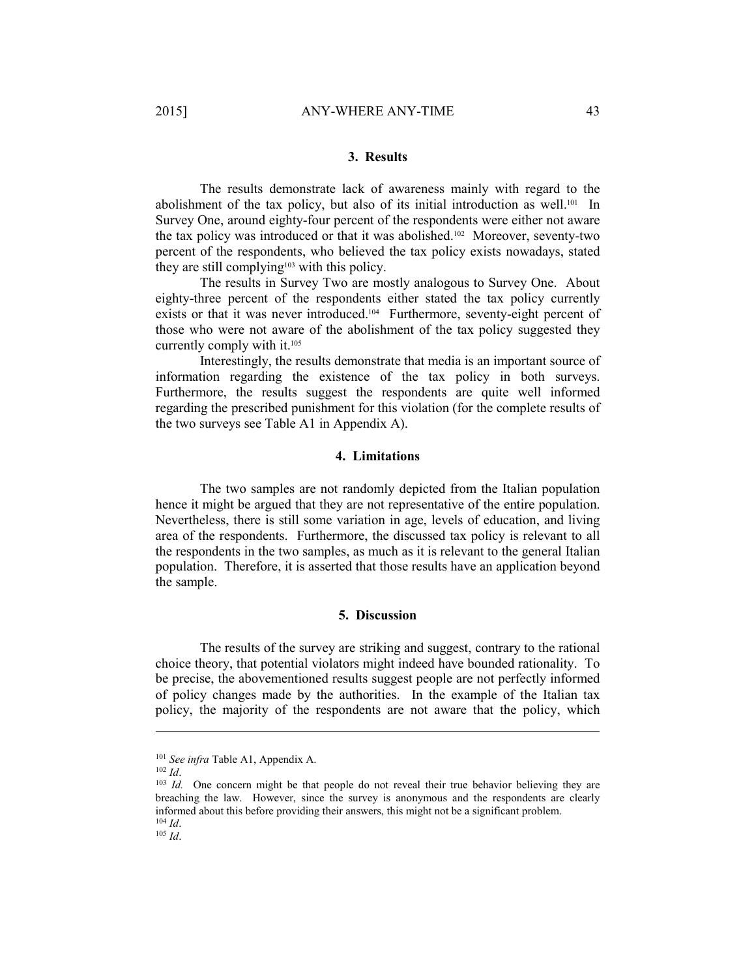## **3. Results**

The results demonstrate lack of awareness mainly with regard to the abolishment of the tax policy, but also of its initial introduction as well.101 In Survey One, around eighty-four percent of the respondents were either not aware the tax policy was introduced or that it was abolished.102 Moreover, seventy-two percent of the respondents, who believed the tax policy exists nowadays, stated they are still complying103 with this policy.

The results in Survey Two are mostly analogous to Survey One. About eighty-three percent of the respondents either stated the tax policy currently exists or that it was never introduced.104 Furthermore, seventy-eight percent of those who were not aware of the abolishment of the tax policy suggested they currently comply with it.105

Interestingly, the results demonstrate that media is an important source of information regarding the existence of the tax policy in both surveys. Furthermore, the results suggest the respondents are quite well informed regarding the prescribed punishment for this violation (for the complete results of the two surveys see Table A1 in Appendix A).

# **4. Limitations**

The two samples are not randomly depicted from the Italian population hence it might be argued that they are not representative of the entire population. Nevertheless, there is still some variation in age, levels of education, and living area of the respondents. Furthermore, the discussed tax policy is relevant to all the respondents in the two samples, as much as it is relevant to the general Italian population. Therefore, it is asserted that those results have an application beyond the sample.

#### **5. Discussion**

The results of the survey are striking and suggest, contrary to the rational choice theory, that potential violators might indeed have bounded rationality. To be precise, the abovementioned results suggest people are not perfectly informed of policy changes made by the authorities. In the example of the Italian tax policy, the majority of the respondents are not aware that the policy, which

<sup>&</sup>lt;sup>101</sup> *See infra* Table A1, Appendix A.<br><sup>102</sup> *Id.* One concern might be that people do not reveal their true behavior believing they are breaching the law. However, since the survey is anonymous and the respondents are clearly informed about this before providing their answers, this might not be a significant problem. 104 *Id*. 105 *Id*.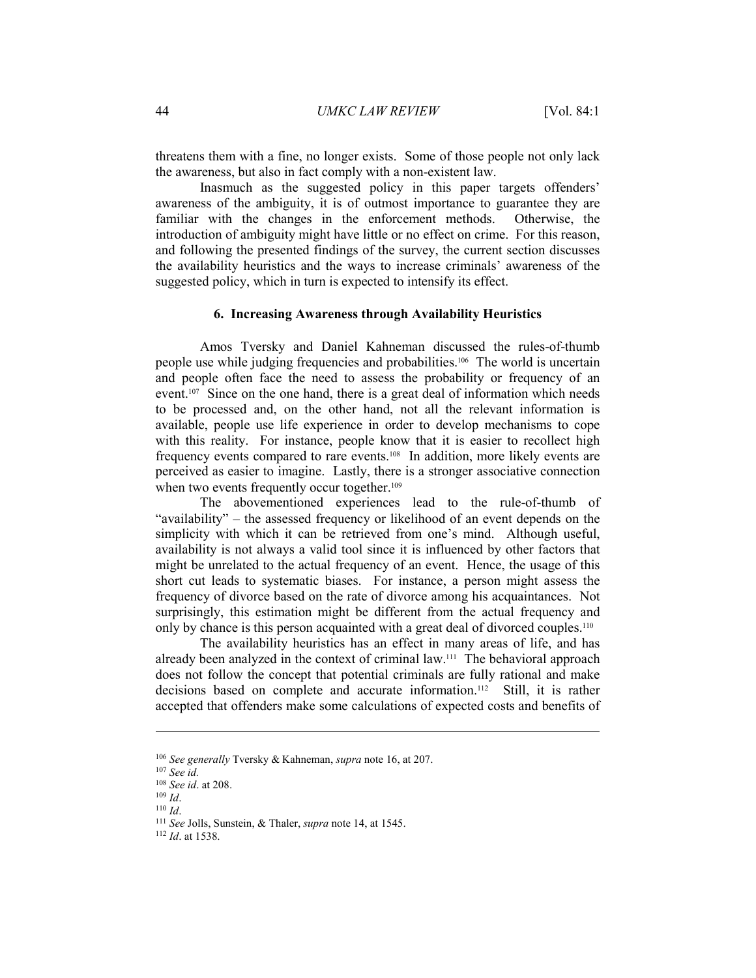threatens them with a fine, no longer exists. Some of those people not only lack the awareness, but also in fact comply with a non-existent law.

Inasmuch as the suggested policy in this paper targets offenders' awareness of the ambiguity, it is of outmost importance to guarantee they are familiar with the changes in the enforcement methods. Otherwise, the introduction of ambiguity might have little or no effect on crime. For this reason, and following the presented findings of the survey, the current section discusses the availability heuristics and the ways to increase criminals' awareness of the suggested policy, which in turn is expected to intensify its effect.

## **6. Increasing Awareness through Availability Heuristics**

Amos Tversky and Daniel Kahneman discussed the rules-of-thumb people use while judging frequencies and probabilities.106 The world is uncertain and people often face the need to assess the probability or frequency of an event.<sup>107</sup> Since on the one hand, there is a great deal of information which needs to be processed and, on the other hand, not all the relevant information is available, people use life experience in order to develop mechanisms to cope with this reality. For instance, people know that it is easier to recollect high frequency events compared to rare events.108 In addition, more likely events are perceived as easier to imagine. Lastly, there is a stronger associative connection when two events frequently occur together.<sup>109</sup>

The abovementioned experiences lead to the rule-of-thumb of "availability" – the assessed frequency or likelihood of an event depends on the simplicity with which it can be retrieved from one's mind. Although useful, availability is not always a valid tool since it is influenced by other factors that might be unrelated to the actual frequency of an event. Hence, the usage of this short cut leads to systematic biases. For instance, a person might assess the frequency of divorce based on the rate of divorce among his acquaintances. Not surprisingly, this estimation might be different from the actual frequency and only by chance is this person acquainted with a great deal of divorced couples.110

The availability heuristics has an effect in many areas of life, and has already been analyzed in the context of criminal law.111 The behavioral approach does not follow the concept that potential criminals are fully rational and make decisions based on complete and accurate information.112 Still, it is rather accepted that offenders make some calculations of expected costs and benefits of

<sup>106</sup> *See generally* Tversky & Kahneman, *supra* note 16, at 207. 107 *See id.*

<sup>109</sup> *Id.* 110 *Id.* 110 *Id.* 111 *See* Jolls, Sunstein, & Thaler, *supra* note 14, at 1545. <sup>112</sup> *Id* at 1538.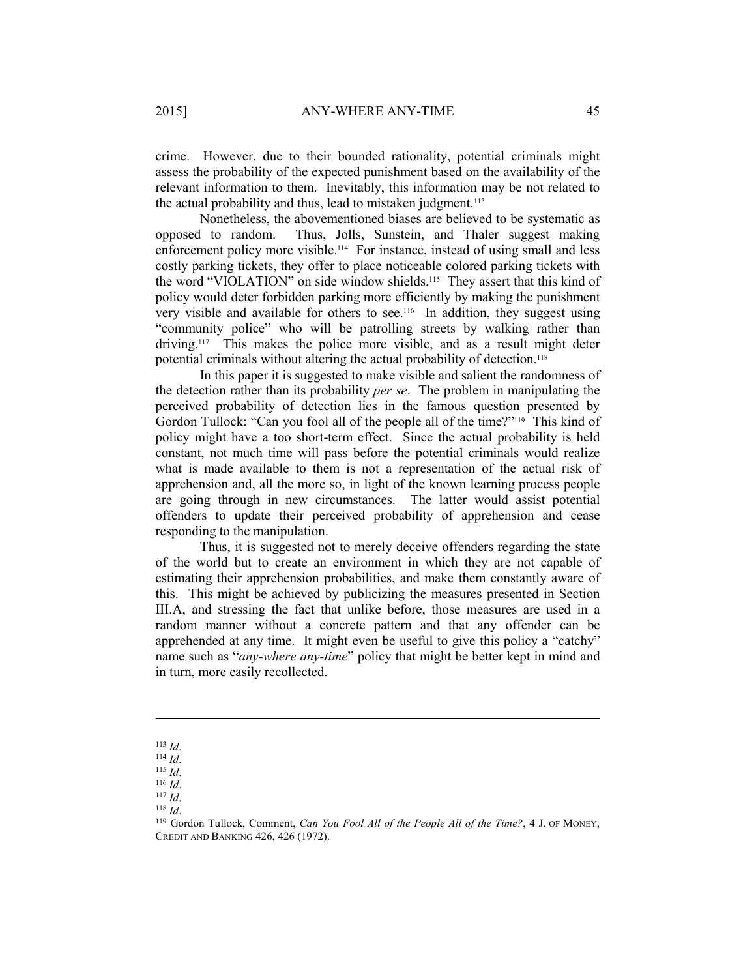crime. However, due to their bounded rationality, potential criminals might assess the probability of the expected punishment based on the availability of the relevant information to them. Inevitably, this information may be not related to the actual probability and thus, lead to mistaken judgment.<sup>113</sup>

Nonetheless, the abovementioned biases are believed to be systematic as opposed to random. Thus, Jolls, Sunstein, and Thaler suggest making enforcement policy more visible.<sup>114</sup> For instance, instead of using small and less costly parking tickets, they offer to place noticeable colored parking tickets with the word "VIOLATION" on side window shields.115 They assert that this kind of policy would deter forbidden parking more efficiently by making the punishment very visible and available for others to see.<sup>116</sup> In addition, they suggest using "community police" who will be patrolling streets by walking rather than driving.117 This makes the police more visible, and as a result might deter potential criminals without altering the actual probability of detection.<sup>118</sup>

In this paper it is suggested to make visible and salient the randomness of the detection rather than its probability *per se*. The problem in manipulating the perceived probability of detection lies in the famous question presented by Gordon Tullock: "Can you fool all of the people all of the time?"119 This kind of policy might have a too short-term effect. Since the actual probability is held constant, not much time will pass before the potential criminals would realize what is made available to them is not a representation of the actual risk of apprehension and, all the more so, in light of the known learning process people are going through in new circumstances. The latter would assist potential offenders to update their perceived probability of apprehension and cease responding to the manipulation.

Thus, it is suggested not to merely deceive offenders regarding the state of the world but to create an environment in which they are not capable of estimating their apprehension probabilities, and make them constantly aware of this. This might be achieved by publicizing the measures presented in Section III.A, and stressing the fact that unlike before, those measures are used in a random manner without a concrete pattern and that any offender can be apprehended at any time. It might even be useful to give this policy a "catchy" name such as "*any-where any-time*" policy that might be better kept in mind and in turn, more easily recollected.

<sup>113</sup> *Id.*<br>
114 *Id.*<br>
116 *Id.*<br>
<sup>117</sup> *Id.*<br>
<sup>118</sup> Gordon Tullock, Comment, *Can You Fool All of the People All of the Time?*, 4 J. OF MONEY,<br>
<sup>119</sup> Gordon Tullock, Comment, *Can You Fool All of the People All of the Time* CREDIT AND BANKING 426, 426 (1972).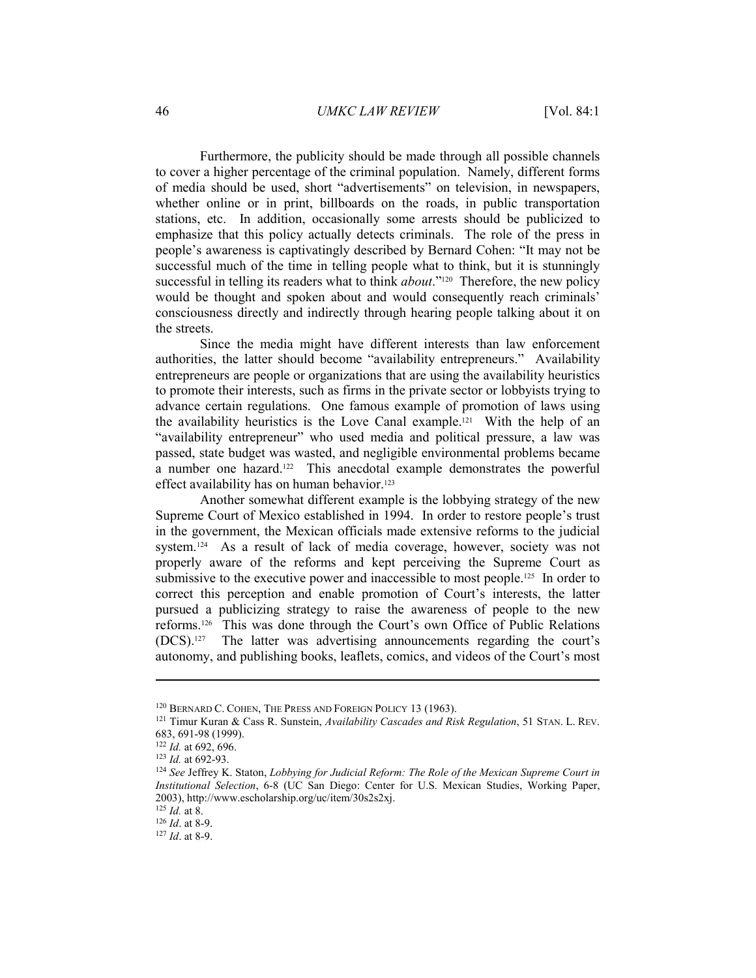## 46 *UMKC LAW REVIEW* [Vol. 84:1

Furthermore, the publicity should be made through all possible channels to cover a higher percentage of the criminal population. Namely, different forms of media should be used, short "advertisements" on television, in newspapers, whether online or in print, billboards on the roads, in public transportation stations, etc. In addition, occasionally some arrests should be publicized to emphasize that this policy actually detects criminals. The role of the press in people's awareness is captivatingly described by Bernard Cohen: "It may not be successful much of the time in telling people what to think, but it is stunningly successful in telling its readers what to think *about*."<sup>120</sup> Therefore, the new policy would be thought and spoken about and would consequently reach criminals' consciousness directly and indirectly through hearing people talking about it on the streets.

Since the media might have different interests than law enforcement authorities, the latter should become "availability entrepreneurs." Availability entrepreneurs are people or organizations that are using the availability heuristics to promote their interests, such as firms in the private sector or lobbyists trying to advance certain regulations. One famous example of promotion of laws using the availability heuristics is the Love Canal example.121 With the help of an "availability entrepreneur" who used media and political pressure, a law was passed, state budget was wasted, and negligible environmental problems became a number one hazard.122 This anecdotal example demonstrates the powerful effect availability has on human behavior.<sup>123</sup>

Another somewhat different example is the lobbying strategy of the new Supreme Court of Mexico established in 1994. In order to restore people's trust in the government, the Mexican officials made extensive reforms to the judicial system.<sup>124</sup> As a result of lack of media coverage, however, society was not properly aware of the reforms and kept perceiving the Supreme Court as submissive to the executive power and inaccessible to most people.<sup>125</sup> In order to correct this perception and enable promotion of Court's interests, the latter pursued a publicizing strategy to raise the awareness of people to the new reforms.126 This was done through the Court's own Office of Public Relations (DCS).127 The latter was advertising announcements regarding the court's autonomy, and publishing books, leaflets, comics, and videos of the Court's most

<sup>120</sup> BERNARD C. COHEN, THE PRESS AND FOREIGN POLICY 13 (1963). 121 Timur Kuran & Cass R. Sunstein, *Availability Cascades and Risk Regulation*, 51 STAN. L. REV. 683, 691-98 (1999).<br><sup>122</sup> Id. at 692, 696.

<sup>&</sup>lt;sup>123</sup> *Id.* at 692-93.<br><sup>124</sup> *See* Jeffrey K. Staton, *Lobbying for Judicial Reform: The Role of the Mexican Supreme Court in Institutional Selection*, 6-8 (UC San Diego: Center for U.S. Mexican Studies, Working Paper, 2003), http://www.escholarship.org/uc/item/30s2s2xj.<br> $^{125}$  Id. at 8.

<sup>&</sup>lt;sup>126</sup> *Id.* at 8-9.<br><sup>127</sup> *Id.* at 8-9.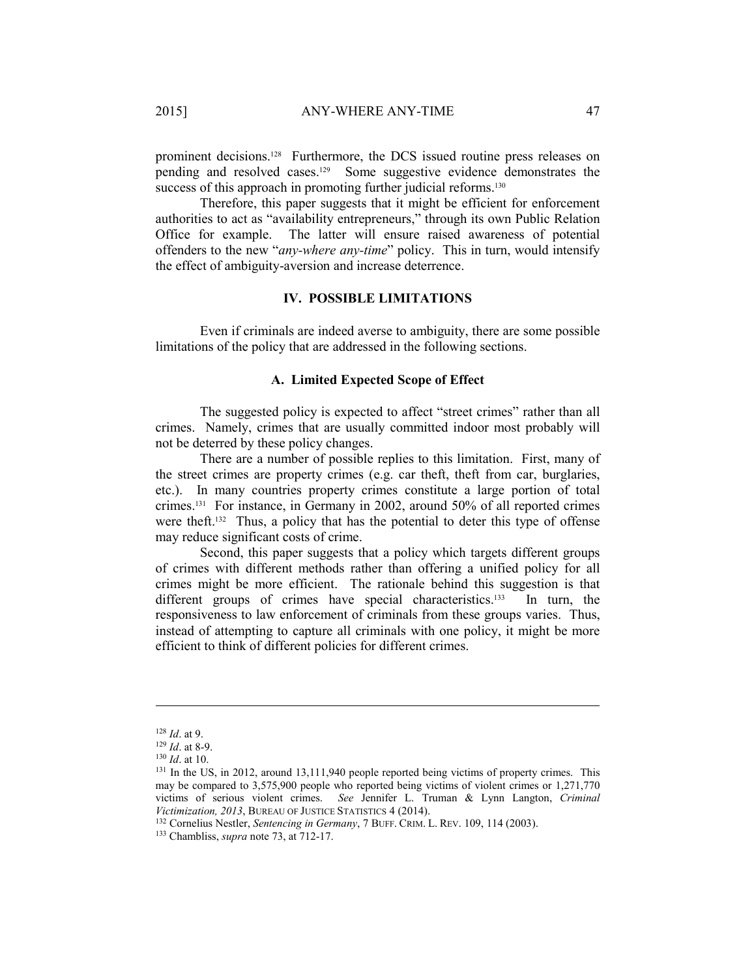prominent decisions.<sup>128</sup> Furthermore, the DCS issued routine press releases on pending and resolved cases.129 Some suggestive evidence demonstrates the success of this approach in promoting further judicial reforms.<sup>130</sup>

Therefore, this paper suggests that it might be efficient for enforcement authorities to act as "availability entrepreneurs," through its own Public Relation Office for example. The latter will ensure raised awareness of potential offenders to the new "*any-where any-time*" policy. This in turn, would intensify the effect of ambiguity-aversion and increase deterrence.

# **IV. POSSIBLE LIMITATIONS**

Even if criminals are indeed averse to ambiguity, there are some possible limitations of the policy that are addressed in the following sections.

# **A. Limited Expected Scope of Effect**

The suggested policy is expected to affect "street crimes" rather than all crimes. Namely, crimes that are usually committed indoor most probably will not be deterred by these policy changes.

There are a number of possible replies to this limitation. First, many of the street crimes are property crimes (e.g. car theft, theft from car, burglaries, etc.). In many countries property crimes constitute a large portion of total crimes.131 For instance, in Germany in 2002, around 50% of all reported crimes were theft.132 Thus, a policy that has the potential to deter this type of offense may reduce significant costs of crime.

Second, this paper suggests that a policy which targets different groups of crimes with different methods rather than offering a unified policy for all crimes might be more efficient. The rationale behind this suggestion is that different groups of crimes have special characteristics.<sup>133</sup> In turn, the responsiveness to law enforcement of criminals from these groups varies. Thus, instead of attempting to capture all criminals with one policy, it might be more efficient to think of different policies for different crimes.

<sup>&</sup>lt;sup>128</sup> *Id.* at 9.<br><sup>129</sup> *Id.* at 8-9.<br><sup>130</sup> *Id.* at 10.<br><sup>131</sup> In the US, in 2012, around 13,111,940 people reported being victims of property crimes. This may be compared to 3,575,900 people who reported being victims of violent crimes or 1,271,770 victims of serious violent crimes. *See* Jennifer L. Truman & Lynn Langton, *Criminal Victimization, 2013*, BUREAU OF JUSTICE STATISTICS 4 (2014). 132 Cornelius Nestler, *Sentencing in Germany*, 7 BUFF. CRIM. L. REV. 109, 114 (2003). 133 Chambliss, *supra* note 73, at 712-17.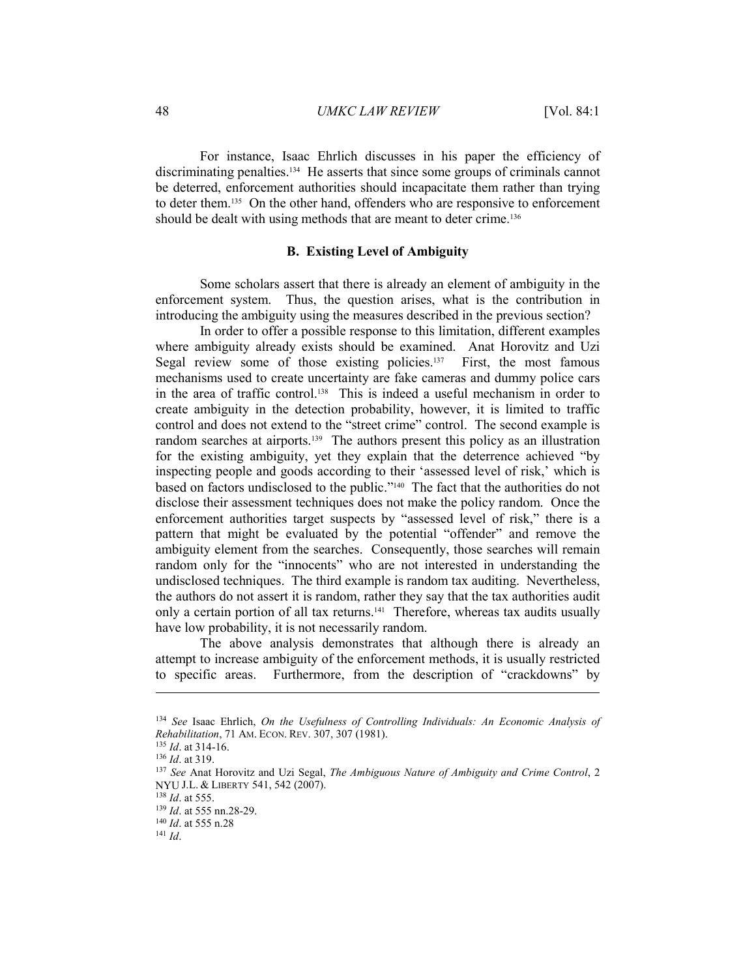#### 48 *UMKC LAW REVIEW* [Vol. 84:1

For instance, Isaac Ehrlich discusses in his paper the efficiency of discriminating penalties.134 He asserts that since some groups of criminals cannot be deterred, enforcement authorities should incapacitate them rather than trying to deter them.135 On the other hand, offenders who are responsive to enforcement should be dealt with using methods that are meant to deter crime.<sup>136</sup>

# **B. Existing Level of Ambiguity**

Some scholars assert that there is already an element of ambiguity in the enforcement system. Thus, the question arises, what is the contribution in introducing the ambiguity using the measures described in the previous section?

In order to offer a possible response to this limitation, different examples where ambiguity already exists should be examined. Anat Horovitz and Uzi Segal review some of those existing policies.<sup>137</sup> First, the most famous mechanisms used to create uncertainty are fake cameras and dummy police cars in the area of traffic control.138 This is indeed a useful mechanism in order to create ambiguity in the detection probability, however, it is limited to traffic control and does not extend to the "street crime" control. The second example is random searches at airports.<sup>139</sup> The authors present this policy as an illustration for the existing ambiguity, yet they explain that the deterrence achieved "by inspecting people and goods according to their 'assessed level of risk,' which is based on factors undisclosed to the public."140 The fact that the authorities do not disclose their assessment techniques does not make the policy random. Once the enforcement authorities target suspects by "assessed level of risk," there is a pattern that might be evaluated by the potential "offender" and remove the ambiguity element from the searches. Consequently, those searches will remain random only for the "innocents" who are not interested in understanding the undisclosed techniques. The third example is random tax auditing. Nevertheless, the authors do not assert it is random, rather they say that the tax authorities audit only a certain portion of all tax returns.141 Therefore, whereas tax audits usually have low probability, it is not necessarily random.

The above analysis demonstrates that although there is already an attempt to increase ambiguity of the enforcement methods, it is usually restricted to specific areas. Furthermore, from the description of "crackdowns" by

<sup>134</sup> *See* Isaac Ehrlich, *On the Usefulness of Controlling Individuals: An Economic Analysis of* 

<sup>&</sup>lt;sup>135</sup> *Id.* at 314-16.<br><sup>136</sup> *Id.* at 319.<br><sup>137</sup> *See* Anat Horovitz and Uzi Segal, *The Ambiguous Nature of Ambiguity and Crime Control*, 2 NYU J.L. & LIBERTY 541, 542 (2007).<br><sup>138</sup> *Id.* at 555.<br><sup>139</sup> *Id.* at 555 nn.28-29.<br><sup>140</sup> *Id.* at 555 n.28 <sup>141</sup> *Id*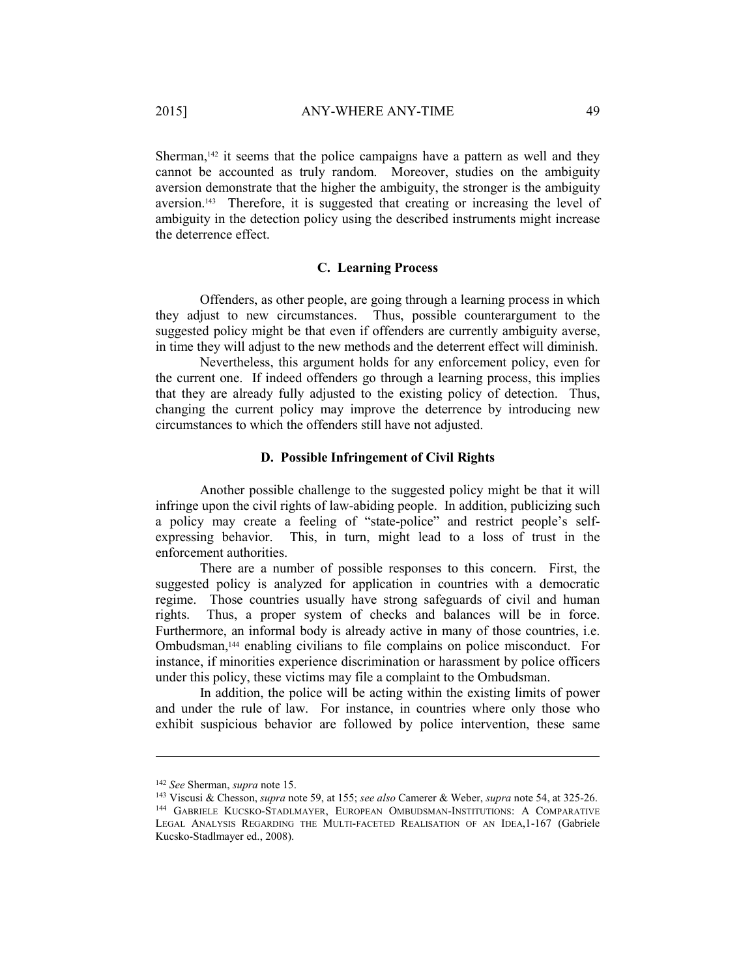Sherman, $142$  it seems that the police campaigns have a pattern as well and they cannot be accounted as truly random. Moreover, studies on the ambiguity aversion demonstrate that the higher the ambiguity, the stronger is the ambiguity aversion.143 Therefore, it is suggested that creating or increasing the level of ambiguity in the detection policy using the described instruments might increase the deterrence effect.

## **C. Learning Process**

Offenders, as other people, are going through a learning process in which they adjust to new circumstances. Thus, possible counterargument to the suggested policy might be that even if offenders are currently ambiguity averse, in time they will adjust to the new methods and the deterrent effect will diminish.

Nevertheless, this argument holds for any enforcement policy, even for the current one. If indeed offenders go through a learning process, this implies that they are already fully adjusted to the existing policy of detection. Thus, changing the current policy may improve the deterrence by introducing new circumstances to which the offenders still have not adjusted.

## **D. Possible Infringement of Civil Rights**

Another possible challenge to the suggested policy might be that it will infringe upon the civil rights of law-abiding people. In addition, publicizing such a policy may create a feeling of "state-police" and restrict people's selfexpressing behavior. This, in turn, might lead to a loss of trust in the enforcement authorities.

There are a number of possible responses to this concern. First, the suggested policy is analyzed for application in countries with a democratic regime. Those countries usually have strong safeguards of civil and human rights. Thus, a proper system of checks and balances will be in force. Furthermore, an informal body is already active in many of those countries, i.e. Ombudsman,144 enabling civilians to file complains on police misconduct. For instance, if minorities experience discrimination or harassment by police officers under this policy, these victims may file a complaint to the Ombudsman.

In addition, the police will be acting within the existing limits of power and under the rule of law. For instance, in countries where only those who exhibit suspicious behavior are followed by police intervention, these same

<sup>&</sup>lt;sup>142</sup> See Sherman, *supra* note 15.<br><sup>143</sup> Viscusi & Chesson, *supra* note 59, at 155; *see also* Camerer & Weber, *supra* note 54, at 325-26.<br><sup>144</sup> GABRIELE KUCSKO-STADLMAYER, EUROPEAN OMBUDSMAN-INSTITUTIONS: A COMPARATIV

LEGAL ANALYSIS REGARDING THE MULTI-FACETED REALISATION OF AN IDEA, 1-167 (Gabriele Kucsko-Stadlmayer ed., 2008).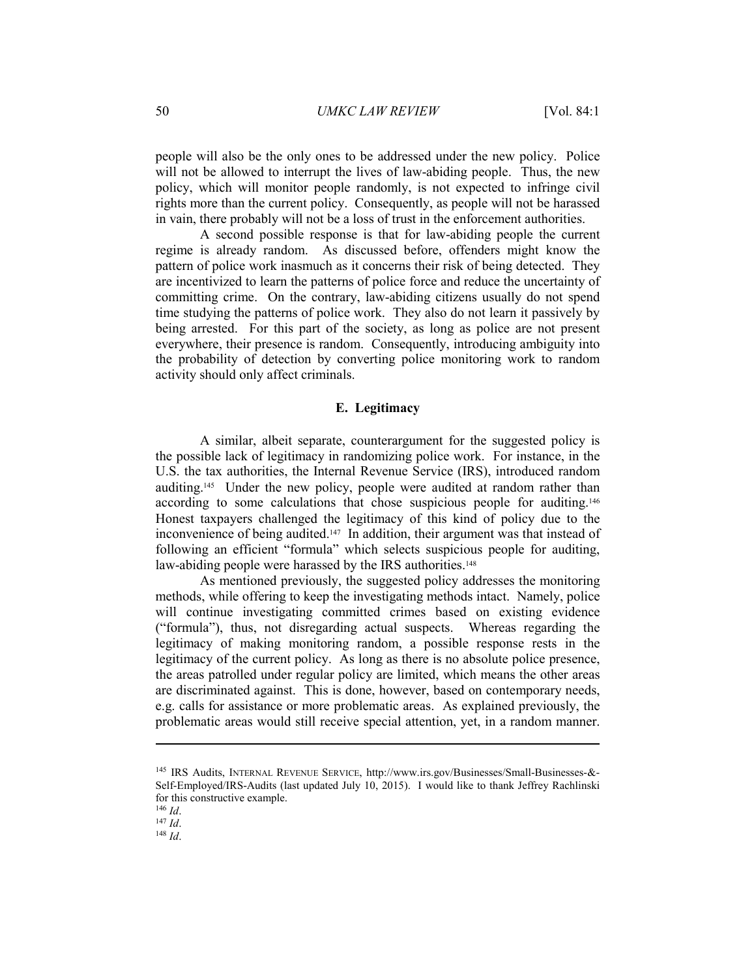people will also be the only ones to be addressed under the new policy. Police will not be allowed to interrupt the lives of law-abiding people. Thus, the new policy, which will monitor people randomly, is not expected to infringe civil rights more than the current policy. Consequently, as people will not be harassed in vain, there probably will not be a loss of trust in the enforcement authorities.

A second possible response is that for law-abiding people the current regime is already random. As discussed before, offenders might know the pattern of police work inasmuch as it concerns their risk of being detected. They are incentivized to learn the patterns of police force and reduce the uncertainty of committing crime. On the contrary, law-abiding citizens usually do not spend time studying the patterns of police work. They also do not learn it passively by being arrested. For this part of the society, as long as police are not present everywhere, their presence is random. Consequently, introducing ambiguity into the probability of detection by converting police monitoring work to random activity should only affect criminals.

# **E. Legitimacy**

A similar, albeit separate, counterargument for the suggested policy is the possible lack of legitimacy in randomizing police work. For instance, in the U.S. the tax authorities, the Internal Revenue Service (IRS), introduced random auditing.145 Under the new policy, people were audited at random rather than according to some calculations that chose suspicious people for auditing.146 Honest taxpayers challenged the legitimacy of this kind of policy due to the inconvenience of being audited.<sup>147</sup> In addition, their argument was that instead of following an efficient "formula" which selects suspicious people for auditing, law-abiding people were harassed by the IRS authorities.<sup>148</sup>

As mentioned previously, the suggested policy addresses the monitoring methods, while offering to keep the investigating methods intact. Namely, police will continue investigating committed crimes based on existing evidence ("formula"), thus, not disregarding actual suspects. Whereas regarding the legitimacy of making monitoring random, a possible response rests in the legitimacy of the current policy. As long as there is no absolute police presence, the areas patrolled under regular policy are limited, which means the other areas are discriminated against. This is done, however, based on contemporary needs, e.g. calls for assistance or more problematic areas. As explained previously, the problematic areas would still receive special attention, yet, in a random manner.

<sup>145</sup> IRS Audits, INTERNAL REVENUE SERVICE, http://www.irs.gov/Businesses/Small-Businesses-&- Self-Employed/IRS-Audits (last updated July 10, 2015). I would like to thank Jeffrey Rachlinski for this constructive example.<br> $\frac{146}{1}$  *Id.* 

<sup>146</sup> *Id*. 147 *Id*. 148 *Id*.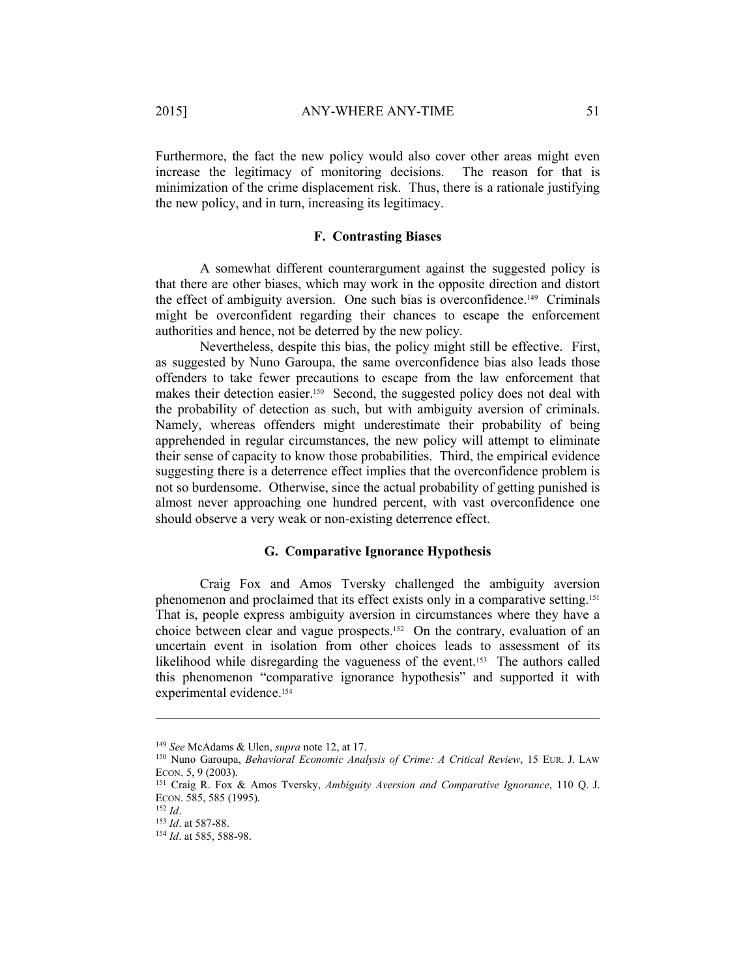Furthermore, the fact the new policy would also cover other areas might even increase the legitimacy of monitoring decisions. The reason for that is minimization of the crime displacement risk. Thus, there is a rationale justifying the new policy, and in turn, increasing its legitimacy.

## **F. Contrasting Biases**

A somewhat different counterargument against the suggested policy is that there are other biases, which may work in the opposite direction and distort the effect of ambiguity aversion. One such bias is overconfidence.149 Criminals might be overconfident regarding their chances to escape the enforcement authorities and hence, not be deterred by the new policy.

Nevertheless, despite this bias, the policy might still be effective. First, as suggested by Nuno Garoupa, the same overconfidence bias also leads those offenders to take fewer precautions to escape from the law enforcement that makes their detection easier.<sup>150</sup> Second, the suggested policy does not deal with the probability of detection as such, but with ambiguity aversion of criminals. Namely, whereas offenders might underestimate their probability of being apprehended in regular circumstances, the new policy will attempt to eliminate their sense of capacity to know those probabilities. Third, the empirical evidence suggesting there is a deterrence effect implies that the overconfidence problem is not so burdensome. Otherwise, since the actual probability of getting punished is almost never approaching one hundred percent, with vast overconfidence one should observe a very weak or non-existing deterrence effect.

## **G. Comparative Ignorance Hypothesis**

Craig Fox and Amos Tversky challenged the ambiguity aversion phenomenon and proclaimed that its effect exists only in a comparative setting.151 That is, people express ambiguity aversion in circumstances where they have a choice between clear and vague prospects.152 On the contrary, evaluation of an uncertain event in isolation from other choices leads to assessment of its likelihood while disregarding the vagueness of the event.153 The authors called this phenomenon "comparative ignorance hypothesis" and supported it with experimental evidence.<sup>154</sup>

<sup>&</sup>lt;sup>149</sup> *See* McAdams & Ulen, *supra* note 12, at 17.<br><sup>150</sup> Nuno Garoupa, *Behavioral Economic Analysis of Crime: A Critical Review*, 15 EUR. J. LAW ECON. 5, 9 (2003).<br><sup>151</sup> Craig R. Fox & Amos Tversky, *Ambiguity Aversion and Comparative Ignorance*, 110 Q. J.

ECON. 585, 585 (1995).<br><sup>152</sup> *Id.*<br><sup>153</sup> *Id.* at 587-88.<br><sup>154</sup> *Id.* at 585, 588-98.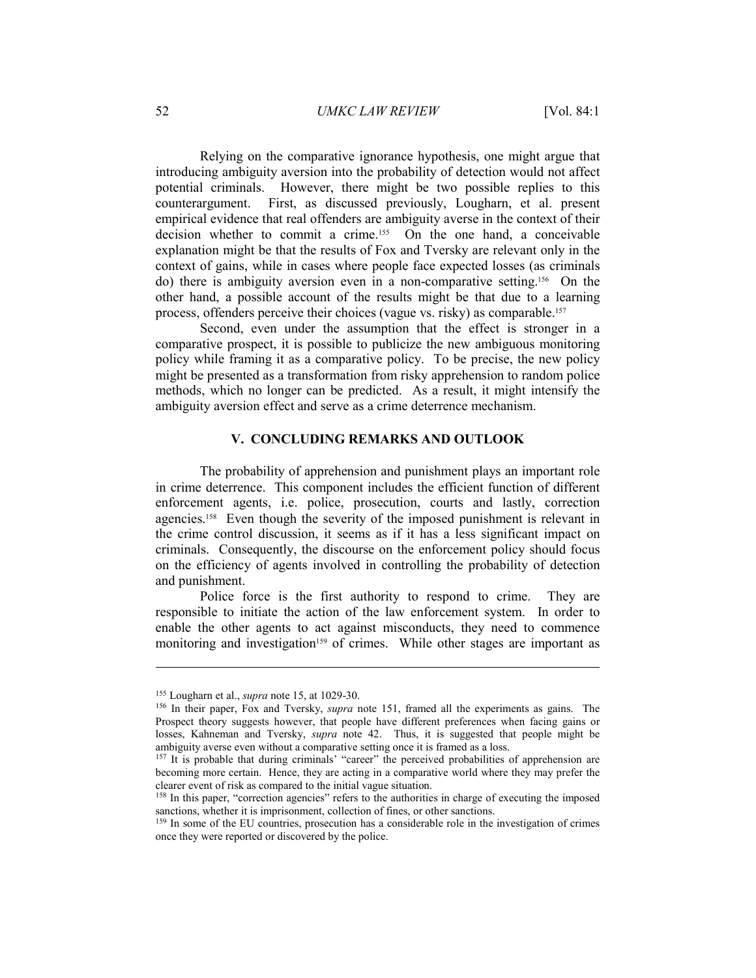## 52 *UMKC LAW REVIEW* [Vol. 84:1

Relying on the comparative ignorance hypothesis, one might argue that introducing ambiguity aversion into the probability of detection would not affect potential criminals. However, there might be two possible replies to this counterargument. First, as discussed previously, Lougharn, et al. present empirical evidence that real offenders are ambiguity averse in the context of their decision whether to commit a crime.155 On the one hand, a conceivable explanation might be that the results of Fox and Tversky are relevant only in the context of gains, while in cases where people face expected losses (as criminals do) there is ambiguity aversion even in a non-comparative setting.156 On the other hand, a possible account of the results might be that due to a learning process, offenders perceive their choices (vague vs. risky) as comparable.157

Second, even under the assumption that the effect is stronger in a comparative prospect, it is possible to publicize the new ambiguous monitoring policy while framing it as a comparative policy. To be precise, the new policy might be presented as a transformation from risky apprehension to random police methods, which no longer can be predicted. As a result, it might intensify the ambiguity aversion effect and serve as a crime deterrence mechanism.

# **V. CONCLUDING REMARKS AND OUTLOOK**

The probability of apprehension and punishment plays an important role in crime deterrence. This component includes the efficient function of different enforcement agents, i.e. police, prosecution, courts and lastly, correction agencies.158 Even though the severity of the imposed punishment is relevant in the crime control discussion, it seems as if it has a less significant impact on criminals. Consequently, the discourse on the enforcement policy should focus on the efficiency of agents involved in controlling the probability of detection and punishment.

Police force is the first authority to respond to crime. They are responsible to initiate the action of the law enforcement system. In order to enable the other agents to act against misconducts, they need to commence monitoring and investigation<sup>159</sup> of crimes. While other stages are important as

<sup>&</sup>lt;sup>155</sup> Lougharn et al., *supra* note 15, at 1029-30.<br><sup>156</sup> In their paper, Fox and Tversky, *supra* note 151, framed all the experiments as gains. The Prospect theory suggests however, that people have different preferences when facing gains or losses, Kahneman and Tversky, *supra* note 42. Thus, it is suggested that people might be ambiguity averse even without a comparative setting once it is framed as a loss.<br><sup>157</sup> It is probable that during criminals' "career" the perceived probabilities of apprehension are

becoming more certain. Hence, they are acting in a comparative world where they may prefer the clearer event of risk as compared to the initial vague situation. 158 In this paper, "correction agencies" refers to the authorities in charge of executing the imposed

sanctions, whether it is imprisonment, collection of fines, or other sanctions.<br><sup>159</sup> In some of the EU countries, prosecution has a considerable role in the investigation of crimes

once they were reported or discovered by the police.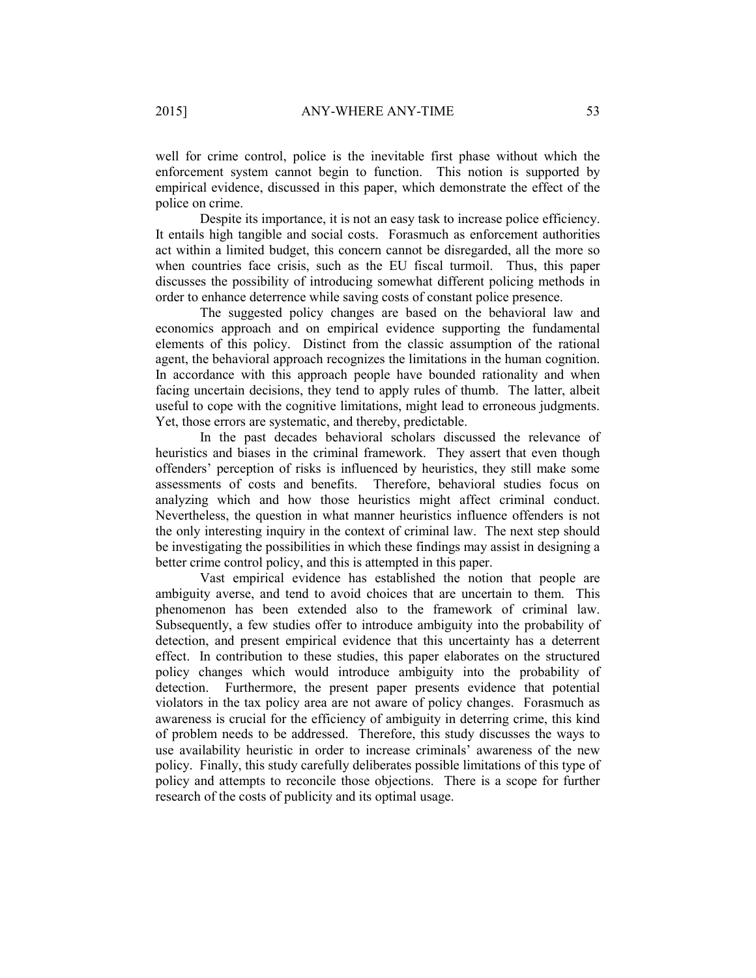well for crime control, police is the inevitable first phase without which the enforcement system cannot begin to function. This notion is supported by empirical evidence, discussed in this paper, which demonstrate the effect of the police on crime.

Despite its importance, it is not an easy task to increase police efficiency. It entails high tangible and social costs. Forasmuch as enforcement authorities act within a limited budget, this concern cannot be disregarded, all the more so when countries face crisis, such as the EU fiscal turmoil. Thus, this paper discusses the possibility of introducing somewhat different policing methods in order to enhance deterrence while saving costs of constant police presence.

The suggested policy changes are based on the behavioral law and economics approach and on empirical evidence supporting the fundamental elements of this policy. Distinct from the classic assumption of the rational agent, the behavioral approach recognizes the limitations in the human cognition. In accordance with this approach people have bounded rationality and when facing uncertain decisions, they tend to apply rules of thumb. The latter, albeit useful to cope with the cognitive limitations, might lead to erroneous judgments. Yet, those errors are systematic, and thereby, predictable.

In the past decades behavioral scholars discussed the relevance of heuristics and biases in the criminal framework. They assert that even though offenders' perception of risks is influenced by heuristics, they still make some assessments of costs and benefits. Therefore, behavioral studies focus on analyzing which and how those heuristics might affect criminal conduct. Nevertheless, the question in what manner heuristics influence offenders is not the only interesting inquiry in the context of criminal law. The next step should be investigating the possibilities in which these findings may assist in designing a better crime control policy, and this is attempted in this paper.

Vast empirical evidence has established the notion that people are ambiguity averse, and tend to avoid choices that are uncertain to them. This phenomenon has been extended also to the framework of criminal law. Subsequently, a few studies offer to introduce ambiguity into the probability of detection, and present empirical evidence that this uncertainty has a deterrent effect. In contribution to these studies, this paper elaborates on the structured policy changes which would introduce ambiguity into the probability of detection. Furthermore, the present paper presents evidence that potential violators in the tax policy area are not aware of policy changes. Forasmuch as awareness is crucial for the efficiency of ambiguity in deterring crime, this kind of problem needs to be addressed. Therefore, this study discusses the ways to use availability heuristic in order to increase criminals' awareness of the new policy. Finally, this study carefully deliberates possible limitations of this type of policy and attempts to reconcile those objections. There is a scope for further research of the costs of publicity and its optimal usage.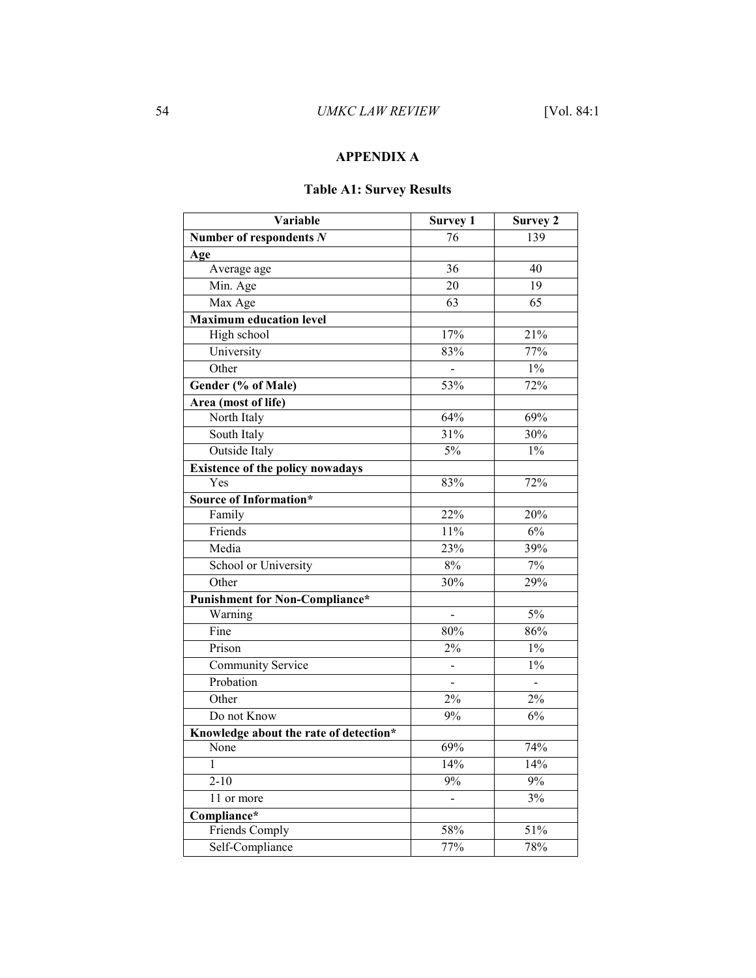# **APPENDIX A**

# **Table A1: Survey Results**

| Variable                                | <b>Survey 1</b> | <b>Survey 2</b> |
|-----------------------------------------|-----------------|-----------------|
| Number of respondents $N$               | 76              | 139             |
| Age                                     |                 |                 |
| Average age                             | 36              | 40              |
| Min. Age                                | 20              | 19              |
| Max Age                                 | $\overline{63}$ | $\overline{65}$ |
| <b>Maximum education level</b>          |                 |                 |
| High school                             | 17%             | 21%             |
| University                              | 83%             | 77%             |
| Other                                   | $\overline{a}$  | $1\%$           |
| Gender (% of Male)                      | 53%             | 72%             |
| Area (most of life)                     |                 |                 |
| North Italy                             | 64%             | 69%             |
| South Italy                             | 31%             | 30%             |
| Outside Italy                           | 5%              | $1\%$           |
| <b>Existence of the policy nowadays</b> |                 |                 |
| Yes                                     | 83%             | 72%             |
| <b>Source of Information*</b>           |                 |                 |
| Family                                  | 22%             | 20%             |
| Friends                                 | 11%             | 6%              |
| Media                                   | 23%             | 39%             |
| School or University                    | $8\%$           | 7%              |
| Other                                   | 30%             | 29%             |
| <b>Punishment for Non-Compliance*</b>   |                 |                 |
| Warning                                 |                 | $\frac{5\%}{ }$ |
| Fine                                    | 80%             | 86%             |
| Prison                                  | 2%              | $1\%$           |
| <b>Community Service</b>                |                 | $1\%$           |
| Probation                               | $\overline{a}$  | $\overline{a}$  |
| Other                                   | 2%              | $2\%$           |
| Do not Know                             | 9%              | 6%              |
| Knowledge about the rate of detection*  |                 |                 |
| None                                    | 69%             | 74%             |
| 1                                       | 14%             | 14%             |
| $2 - 10$                                | $9\%$           | 9%              |
| 11 or more                              | $\overline{a}$  | 3%              |
| Compliance*                             |                 |                 |
| Friends Comply                          | 58%             | 51%             |
| Self-Compliance                         | 77%             | 78%             |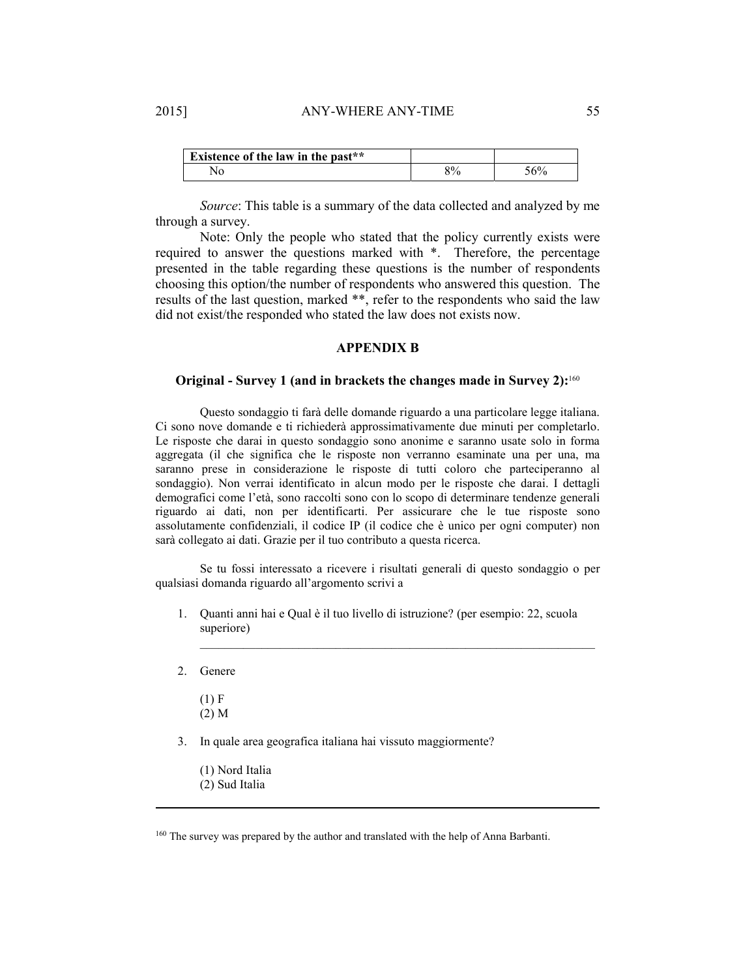| <b>Existence of the law in the past**</b> |       |
|-------------------------------------------|-------|
|                                           | $5\%$ |

*Source*: This table is a summary of the data collected and analyzed by me through a survey.

Note: Only the people who stated that the policy currently exists were required to answer the questions marked with \*. Therefore, the percentage presented in the table regarding these questions is the number of respondents choosing this option/the number of respondents who answered this question. The results of the last question, marked \*\*, refer to the respondents who said the law did not exist/the responded who stated the law does not exists now.

#### **APPENDIX B**

## **Original - Survey 1 (and in brackets the changes made in Survey 2):**<sup>160</sup>

Questo sondaggio ti farà delle domande riguardo a una particolare legge italiana. Ci sono nove domande e ti richiederà approssimativamente due minuti per completarlo. Le risposte che darai in questo sondaggio sono anonime e saranno usate solo in forma aggregata (il che significa che le risposte non verranno esaminate una per una, ma saranno prese in considerazione le risposte di tutti coloro che parteciperanno al sondaggio). Non verrai identificato in alcun modo per le risposte che darai. I dettagli demografici come l'età, sono raccolti sono con lo scopo di determinare tendenze generali riguardo ai dati, non per identificarti. Per assicurare che le tue risposte sono assolutamente confidenziali, il codice IP (il codice che è unico per ogni computer) non sarà collegato ai dati. Grazie per il tuo contributo a questa ricerca.

Se tu fossi interessato a ricevere i risultati generali di questo sondaggio o per qualsiasi domanda riguardo all'argomento scrivi a

1. Quanti anni hai e Qual è il tuo livello di istruzione? (per esempio: 22, scuola superiore)

 $\mathcal{L}_\text{max}$  and  $\mathcal{L}_\text{max}$  and  $\mathcal{L}_\text{max}$  and  $\mathcal{L}_\text{max}$  and  $\mathcal{L}_\text{max}$ 

2. Genere

- $(1)$  F (2) M
- 3. In quale area geografica italiana hai vissuto maggiormente?
	- (1) Nord Italia
	- (2) Sud Italia

<sup>160</sup> The survey was prepared by the author and translated with the help of Anna Barbanti.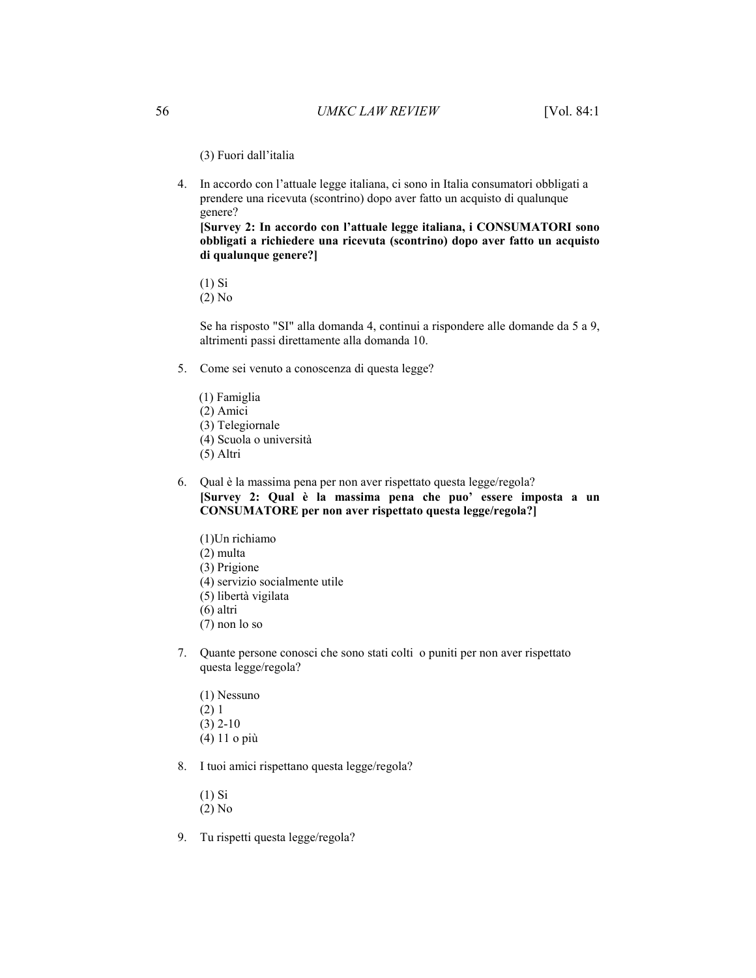(3) Fuori dall'italia

4. In accordo con l'attuale legge italiana, ci sono in Italia consumatori obbligati a prendere una ricevuta (scontrino) dopo aver fatto un acquisto di qualunque genere?

**[Survey 2: In accordo con l'attuale legge italiana, i CONSUMATORI sono obbligati a richiedere una ricevuta (scontrino) dopo aver fatto un acquisto di qualunque genere?]** 

(1) Si

(2) No

Se ha risposto "SI" alla domanda 4, continui a rispondere alle domande da 5 a 9, altrimenti passi direttamente alla domanda 10.

- 5. Come sei venuto a conoscenza di questa legge?
	- (1) Famiglia (2) Amici (3) Telegiornale
	- (4) Scuola o università
	- (5) Altri
- 6. Qual è la massima pena per non aver rispettato questa legge/regola? **[Survey 2: Qual è la massima pena che puo' essere imposta a un CONSUMATORE per non aver rispettato questa legge/regola?]** 
	- (1)Un richiamo (2) multa (3) Prigione (4) servizio socialmente utile (5) libertà vigilata (6) altri (7) non lo so
- 7. Quante persone conosci che sono stati colti o puniti per non aver rispettato questa legge/regola?
	- (1) Nessuno (2) 1 (3) 2-10 (4) 11 o più
- 8. I tuoi amici rispettano questa legge/regola?
	- (1) Si (2) No
- 9. Tu rispetti questa legge/regola?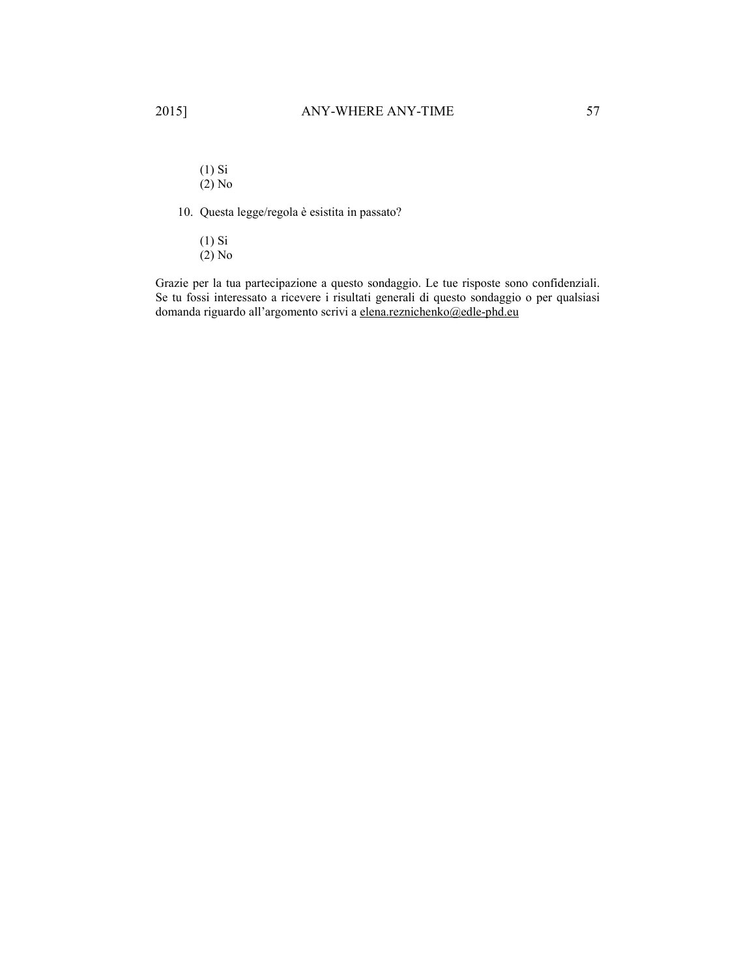(1) Si (2) No

10. Questa legge/regola è esistita in passato?

(1) Si

(2) No

Grazie per la tua partecipazione a questo sondaggio. Le tue risposte sono confidenziali. Se tu fossi interessato a ricevere i risultati generali di questo sondaggio o per qualsiasi domanda riguardo all'argomento scrivi a elena.reznichenko@edle-phd.eu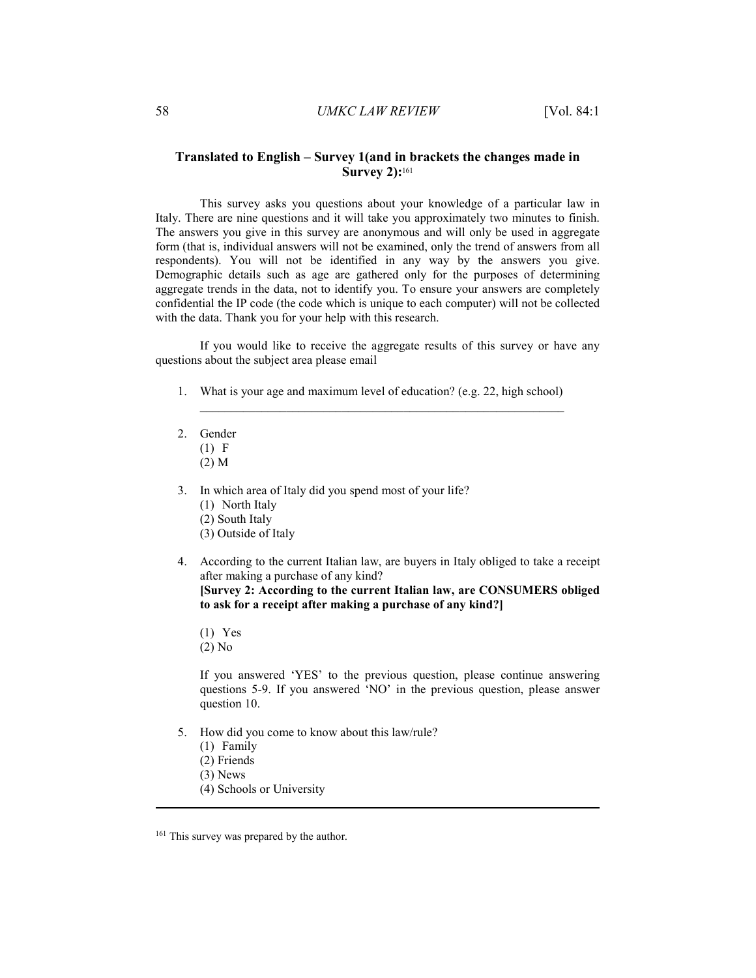## **Translated to English – Survey 1(and in brackets the changes made in Survey 2):**<sup>161</sup>

This survey asks you questions about your knowledge of a particular law in Italy. There are nine questions and it will take you approximately two minutes to finish. The answers you give in this survey are anonymous and will only be used in aggregate form (that is, individual answers will not be examined, only the trend of answers from all respondents). You will not be identified in any way by the answers you give. Demographic details such as age are gathered only for the purposes of determining aggregate trends in the data, not to identify you. To ensure your answers are completely confidential the IP code (the code which is unique to each computer) will not be collected with the data. Thank you for your help with this research.

If you would like to receive the aggregate results of this survey or have any questions about the subject area please email

1. What is your age and maximum level of education? (e.g. 22, high school)

 $\_$  , and the set of the set of the set of the set of the set of the set of the set of the set of the set of the set of the set of the set of the set of the set of the set of the set of the set of the set of the set of th

- 2. Gender (1) F
	- (2) M
- 3. In which area of Italy did you spend most of your life? (1) North Italy
	- (2) South Italy
	- (3) Outside of Italy
- 4. According to the current Italian law, are buyers in Italy obliged to take a receipt after making a purchase of any kind? **[Survey 2: According to the current Italian law, are CONSUMERS obliged to ask for a receipt after making a purchase of any kind?]** 
	- (1) Yes
	- (2) No

If you answered 'YES' to the previous question, please continue answering questions 5-9. If you answered 'NO' in the previous question, please answer question 10.

- 5. How did you come to know about this law/rule?
	- (1) Family
	- (2) Friends
	- (3) News

-

(4) Schools or University

<sup>&</sup>lt;sup>161</sup> This survey was prepared by the author.